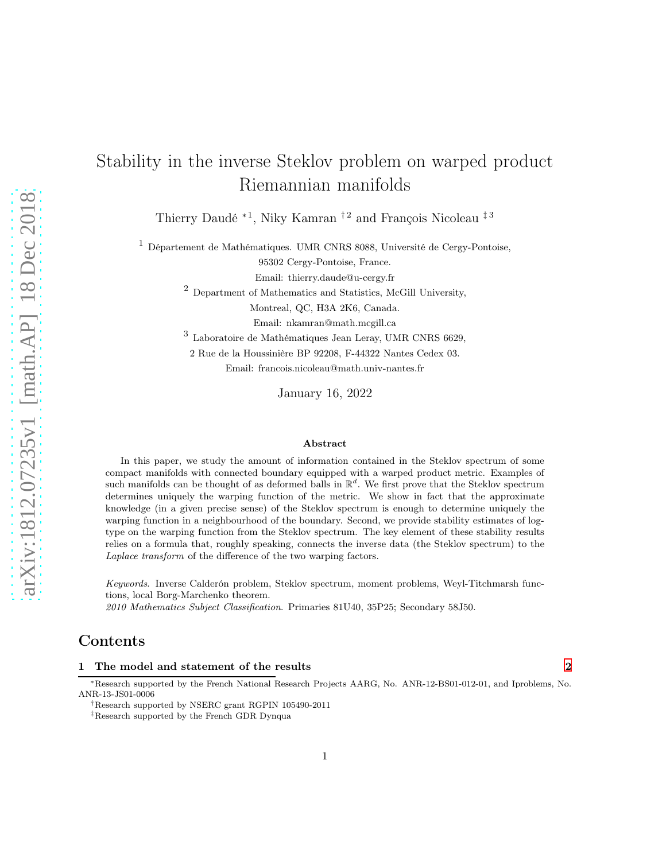# Stability in the inverse Steklov problem on warped product Riemannian manifolds

Thierry Daudé <sup>∗1</sup>, Niky Kamran <sup>† 2</sup> and François Nicoleau <sup>‡ 3</sup>

<sup>1</sup> Département de Mathématiques. UMR CNRS 8088, Université de Cergy-Pontoise,

95302 Cergy-Pontoise, France.

Email: thierry.daude@u-cergy.fr

<sup>2</sup> Department of Mathematics and Statistics, McGill University,

Montreal, QC, H3A 2K6, Canada.

Email: nkamran@math.mcgill.ca

3 Laboratoire de Mathématiques Jean Leray, UMR CNRS 6629,

2 Rue de la Houssinière BP 92208, F-44322 Nantes Cedex 03.

Email: francois.nicoleau@math.univ-nantes.fr

January 16, 2022

#### Abstract

In this paper, we study the amount of information contained in the Steklov spectrum of some compact manifolds with connected boundary equipped with a warped product metric. Examples of such manifolds can be thought of as deformed balls in  $\mathbb{R}^d$ . We first prove that the Steklov spectrum determines uniquely the warping function of the metric. We show in fact that the approximate knowledge (in a given precise sense) of the Steklov spectrum is enough to determine uniquely the warping function in a neighbourhood of the boundary. Second, we provide stability estimates of logtype on the warping function from the Steklov spectrum. The key element of these stability results relies on a formula that, roughly speaking, connects the inverse data (the Steklov spectrum) to the Laplace transform of the difference of the two warping factors.

Keywords. Inverse Calderón problem, Steklov spectrum, moment problems, Weyl-Titchmarsh functions, local Borg-Marchenko theorem.

2010 Mathematics Subject Classification. Primaries 81U40, 35P25; Secondary 58J50.

# Contents

## 1 The model and statement of the results [2](#page-1-0)

<sup>∗</sup>Research supported by the French National Research Projects AARG, No. ANR-12-BS01-012-01, and Iproblems, No. ANR-13-JS01-0006

†Research supported by NSERC grant RGPIN 105490-2011

‡Research supported by the French GDR Dynqua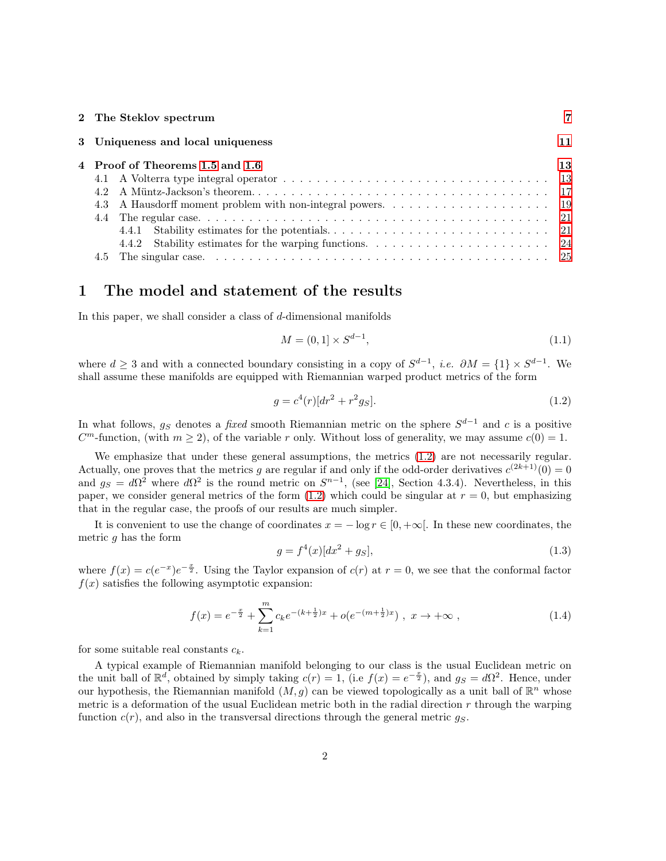|  | 2 The Steklov spectrum            |    |
|--|-----------------------------------|----|
|  | 3 Uniqueness and local uniqueness | 11 |
|  | 4 Proof of Theorems 1.5 and 1.6   | 13 |
|  |                                   |    |
|  |                                   |    |
|  |                                   |    |
|  |                                   |    |
|  | 4.4.1                             |    |
|  | 4.4.2                             |    |
|  |                                   |    |

## <span id="page-1-0"></span>1 The model and statement of the results

In this paper, we shall consider a class of  $d$ -dimensional manifolds

<span id="page-1-2"></span>
$$
M = (0, 1] \times S^{d-1},\tag{1.1}
$$

where  $d \geq 3$  and with a connected boundary consisting in a copy of  $S^{d-1}$ , *i.e.*  $\partial M = \{1\} \times S^{d-1}$ . We shall assume these manifolds are equipped with Riemannian warped product metrics of the form

<span id="page-1-1"></span>
$$
g = c4(r)[dr2 + r2gS].
$$
\n(1.2)

In what follows,  $g_S$  denotes a *fixed* smooth Riemannian metric on the sphere  $S^{d-1}$  and c is a positive  $C<sup>m</sup>$ -function, (with  $m \ge 2$ ), of the variable r only. Without loss of generality, we may assume  $c(0) = 1$ .

We emphasize that under these general assumptions, the metrics [\(1.2\)](#page-1-1) are not necessarily regular. Actually, one proves that the metrics g are regular if and only if the odd-order derivatives  $c^{(2k+1)}(0) = 0$ and  $g_S = d\Omega^2$  where  $d\Omega^2$  is the round metric on  $S^{n-1}$ , (see [\[24\]](#page-27-0), Section 4.3.4). Nevertheless, in this paper, we consider general metrics of the form  $(1.2)$  which could be singular at  $r = 0$ , but emphasizing that in the regular case, the proofs of our results are much simpler.

It is convenient to use the change of coordinates  $x = -\log r \in [0, +\infty]$ . In these new coordinates, the metric  $g$  has the form

$$
g = f^4(x)[dx^2 + g_S],
$$
\n(1.3)

where  $f(x) = c(e^{-x})e^{-x}$ . Using the Taylor expansion of  $c(r)$  at  $r = 0$ , we see that the conformal factor  $f(x)$  satisfies the following asymptotic expansion:

<span id="page-1-3"></span>
$$
f(x) = e^{-\frac{x}{2}} + \sum_{k=1}^{m} c_k e^{-(k+\frac{1}{2})x} + o(e^{-(m+\frac{1}{2})x}), \ x \to +\infty ,
$$
 (1.4)

for some suitable real constants  $c_k$ .

A typical example of Riemannian manifold belonging to our class is the usual Euclidean metric on the unit ball of  $\mathbb{R}^d$ , obtained by simply taking  $c(r) = 1$ , (i.e  $f(x) = e^{-\frac{x}{2}}$ ), and  $g_S = d\Omega^2$ . Hence, under our hypothesis, the Riemannian manifold  $(M, g)$  can be viewed topologically as a unit ball of  $\mathbb{R}^n$  whose metric is a deformation of the usual Euclidean metric both in the radial direction  $r$  through the warping function  $c(r)$ , and also in the transversal directions through the general metric  $g<sub>S</sub>$ .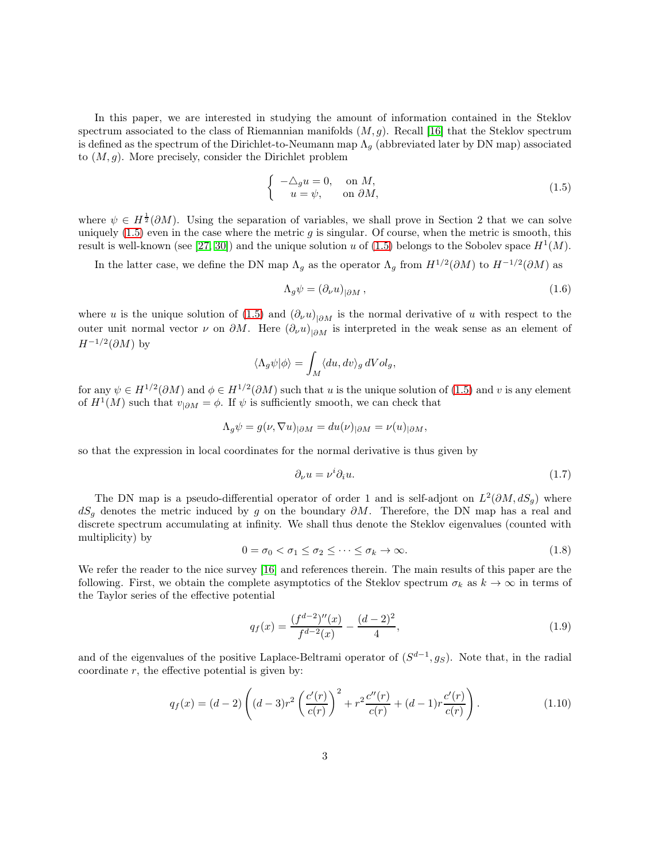In this paper, we are interested in studying the amount of information contained in the Steklov spectrum associated to the class of Riemannian manifolds  $(M, g)$ . Recall [\[16\]](#page-27-1) that the Steklov spectrum is defined as the spectrum of the Dirichlet-to-Neumann map  $\Lambda_q$  (abbreviated later by DN map) associated to  $(M, q)$ . More precisely, consider the Dirichlet problem

<span id="page-2-0"></span>
$$
\begin{cases}\n-\Delta_g u = 0, & \text{on } M, \\
u = \psi, & \text{on } \partial M,\n\end{cases}
$$
\n(1.5)

where  $\psi \in H^{\frac{1}{2}}(\partial M)$ . Using the separation of variables, we shall prove in Section 2 that we can solve uniquely  $(1.5)$  even in the case where the metric g is singular. Of course, when the metric is smooth, this result is well-known (see [\[27,](#page-27-2) [30\]](#page-27-3)) and the unique solution u of [\(1.5\)](#page-2-0) belongs to the Sobolev space  $H^1(M)$ .

In the latter case, we define the DN map  $\Lambda_g$  as the operator  $\Lambda_g$  from  $H^{1/2}(\partial M)$  to  $H^{-1/2}(\partial M)$  as

$$
\Lambda_g \psi = (\partial_\nu u)_{|\partial M},\tag{1.6}
$$

where u is the unique solution of [\(1.5\)](#page-2-0) and  $(\partial_{\nu}u)_{|\partial M}$  is the normal derivative of u with respect to the outer unit normal vector  $\nu$  on  $\partial M$ . Here  $(\partial_{\nu}u)_{|\partial M}$  is interpreted in the weak sense as an element of  $H^{-1/2}(\partial M)$  by

$$
\langle \Lambda_g \psi | \phi \rangle = \int_M \langle du, dv \rangle_g dVol_g,
$$

for any  $\psi \in H^{1/2}(\partial M)$  and  $\phi \in H^{1/2}(\partial M)$  such that u is the unique solution of [\(1.5\)](#page-2-0) and v is any element of  $H^1(M)$  such that  $v_{|\partial M} = \phi$ . If  $\psi$  is sufficiently smooth, we can check that

$$
\Lambda_g \psi = g(\nu, \nabla u)_{|\partial M} = du(\nu)_{|\partial M} = \nu(u)_{|\partial M},
$$

so that the expression in local coordinates for the normal derivative is thus given by

$$
\partial_{\nu}u = \nu^{i}\partial_{i}u. \tag{1.7}
$$

The DN map is a pseudo-differential operator of order 1 and is self-adjont on  $L^2(\partial M, dS_g)$  where  $dS<sub>g</sub>$  denotes the metric induced by g on the boundary  $\partial M$ . Therefore, the DN map has a real and discrete spectrum accumulating at infinity. We shall thus denote the Steklov eigenvalues (counted with multiplicity) by

$$
0 = \sigma_0 < \sigma_1 \leq \sigma_2 \leq \cdots \leq \sigma_k \to \infty. \tag{1.8}
$$

We refer the reader to the nice survey [\[16\]](#page-27-1) and references therein. The main results of this paper are the following. First, we obtain the complete asymptotics of the Steklov spectrum  $\sigma_k$  as  $k \to \infty$  in terms of the Taylor series of the effective potential

<span id="page-2-1"></span>
$$
q_f(x) = \frac{(f^{d-2})''(x)}{f^{d-2}(x)} - \frac{(d-2)^2}{4},\tag{1.9}
$$

and of the eigenvalues of the positive Laplace-Beltrami operator of  $(S^{d-1}, g_S)$ . Note that, in the radial coordinate  $r$ , the effective potential is given by:

<span id="page-2-2"></span>
$$
q_f(x) = (d-2)\left( (d-3)r^2 \left( \frac{c'(r)}{c(r)} \right)^2 + r^2 \frac{c''(r)}{c(r)} + (d-1)r \frac{c'(r)}{c(r)} \right).
$$
 (1.10)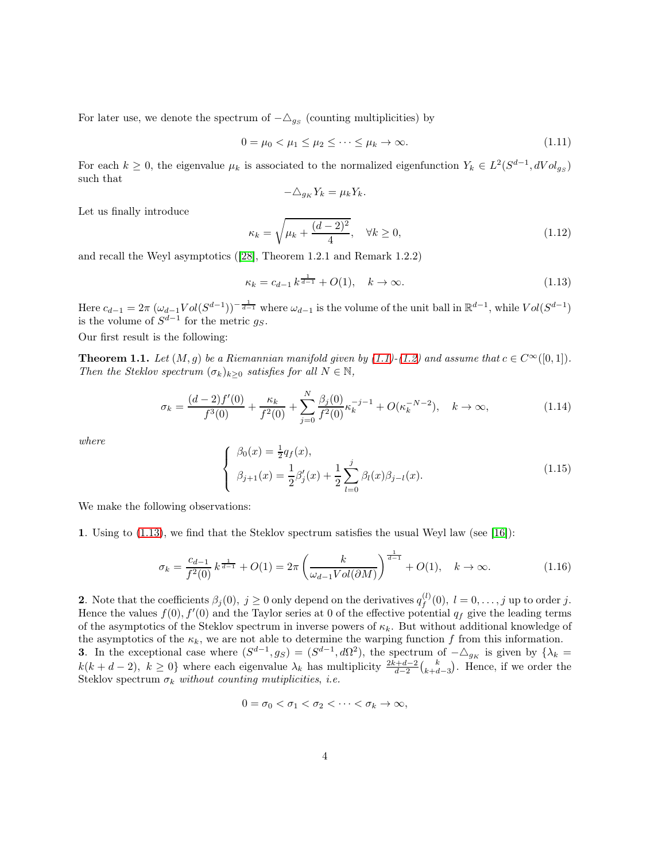For later use, we denote the spectrum of  $-\triangle_{g_S}$  (counting multiplicities) by

$$
0 = \mu_0 < \mu_1 \le \mu_2 \le \dots \le \mu_k \to \infty. \tag{1.11}
$$

For each  $k \geq 0$ , the eigenvalue  $\mu_k$  is associated to the normalized eigenfunction  $Y_k \in L^2(S^{d-1}, dVol_{gs})$ such that

$$
-\triangle_{g_K} Y_k = \mu_k Y_k.
$$

Let us finally introduce

<span id="page-3-2"></span>
$$
\kappa_k = \sqrt{\mu_k + \frac{(d-2)^2}{4}}, \quad \forall k \ge 0,
$$
\n(1.12)

and recall the Weyl asymptotics ([\[28\]](#page-27-4), Theorem 1.2.1 and Remark 1.2.2)

<span id="page-3-0"></span>
$$
\kappa_k = c_{d-1} k^{\frac{1}{d-1}} + O(1), \quad k \to \infty.
$$
\n(1.13)

Here  $c_{d-1} = 2\pi \left(\omega_{d-1} Vol (S^{d-1})\right)^{-\frac{1}{d-1}}$  where  $\omega_{d-1}$  is the volume of the unit ball in  $\mathbb{R}^{d-1}$ , while  $Vol(S^{d-1})$ is the volume of  $S^{d-1}$  for the metric  $g_S$ .

Our first result is the following:

<span id="page-3-1"></span>**Theorem 1.1.** Let  $(M, g)$  be a Riemannian manifold given by  $(1.1)-(1.2)$  $(1.1)-(1.2)$  and assume that  $c \in C^{\infty}([0, 1]).$ Then the Steklov spectrum  $(\sigma_k)_{k>0}$  satisfies for all  $N \in \mathbb{N}$ ,

$$
\sigma_k = \frac{(d-2)f'(0)}{f^3(0)} + \frac{\kappa_k}{f^2(0)} + \sum_{j=0}^N \frac{\beta_j(0)}{f^2(0)} \kappa_k^{-j-1} + O(\kappa_k^{-N-2}), \quad k \to \infty,
$$
\n(1.14)

where

<span id="page-3-3"></span>
$$
\begin{cases}\n\beta_0(x) = \frac{1}{2}q_f(x), \\
\beta_{j+1}(x) = \frac{1}{2}\beta'_j(x) + \frac{1}{2}\sum_{l=0}^j \beta_l(x)\beta_{j-l}(x).\n\end{cases}
$$
\n(1.15)

We make the following observations:

1. Using to [\(1.13\)](#page-3-0), we find that the Steklov spectrum satisfies the usual Weyl law (see [\[16\]](#page-27-1)):

$$
\sigma_k = \frac{c_{d-1}}{f^2(0)} k^{\frac{1}{d-1}} + O(1) = 2\pi \left(\frac{k}{\omega_{d-1} Vol(\partial M)}\right)^{\frac{1}{d-1}} + O(1), \quad k \to \infty.
$$
 (1.16)

**2.** Note that the coefficients  $\beta_j(0)$ ,  $j \geq 0$  only depend on the derivatives  $q_f^{(l)}$  $f_f^{(l)}(0), l = 0, \ldots, j$  up to order j. Hence the values  $f(0)$ ,  $f'(0)$  and the Taylor series at 0 of the effective potential  $q_f$  give the leading terms of the asymptotics of the Steklov spectrum in inverse powers of  $\kappa_k$ . But without additional knowledge of the asymptotics of the  $\kappa_k$ , we are not able to determine the warping function f from this information. **3.** In the exceptional case where  $(S^{d-1}, g_S) = (S^{d-1}, d\Omega^2)$ , the spectrum of  $-\Delta_{g_K}$  is given by  $\{\lambda_k =$  $k(k+d-2), k \ge 0$ } where each eigenvalue  $\lambda_k$  has multiplicity  $\frac{2k+d-2}{d-2} {k \choose k+d-3}$ . Hence, if we order the Steklov spectrum  $\sigma_k$  without counting mutiplicities, i.e.

$$
0=\sigma_0<\sigma_1<\sigma_2<\cdots<\sigma_k\to\infty,
$$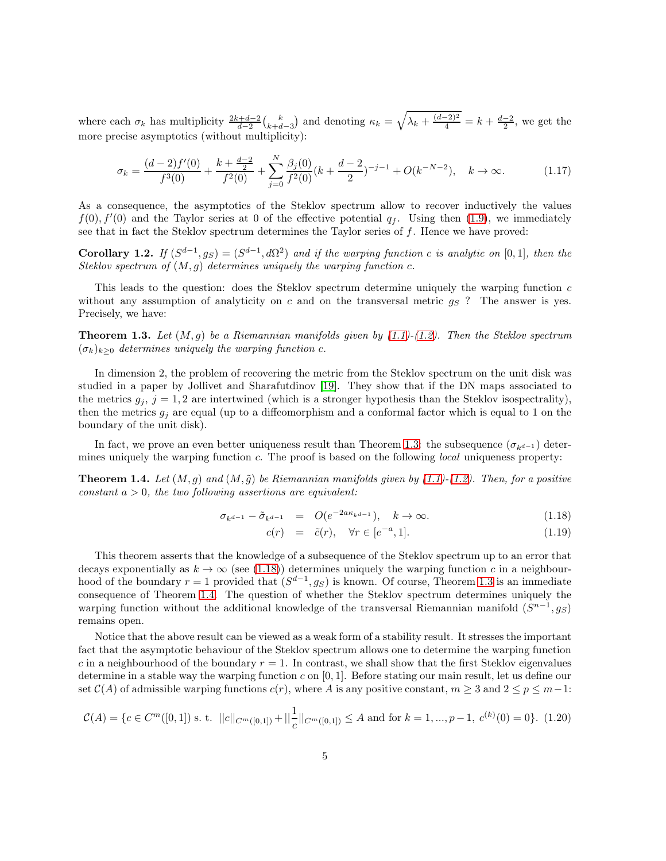where each  $\sigma_k$  has multiplicity  $\frac{2k+d-2}{d-2} {k \choose k+d-3}$  and denoting  $\kappa_k = \sqrt{\lambda_k + \frac{(d-2)^2}{4}} = k + \frac{d-2}{2}$ , we get the more precise asymptotics (without multiplicity):

$$
\sigma_k = \frac{(d-2)f'(0)}{f^3(0)} + \frac{k + \frac{d-2}{2}}{f^2(0)} + \sum_{j=0}^N \frac{\beta_j(0)}{f^2(0)} (k + \frac{d-2}{2})^{-j-1} + O(k^{-N-2}), \quad k \to \infty.
$$
 (1.17)

As a consequence, the asymptotics of the Steklov spectrum allow to recover inductively the values  $f(0)$ ,  $f'(0)$  and the Taylor series at 0 of the effective potential  $q_f$ . Using then [\(1.9\)](#page-2-1), we immediately see that in fact the Steklov spectrum determines the Taylor series of  $f$ . Hence we have proved:

Corollary 1.2. If  $(S^{d-1}, g_S) = (S^{d-1}, d\Omega^2)$  and if the warping function c is analytic on [0,1], then the Steklov spectrum of  $(M, g)$  determines uniquely the warping function c.

This leads to the question: does the Steklov spectrum determine uniquely the warping function  $c$ without any assumption of analyticity on c and on the transversal metric  $g_S$ ? The answer is yes. Precisely, we have:

<span id="page-4-0"></span>**Theorem 1.3.** Let  $(M, g)$  be a Riemannian manifolds given by  $(1.1)-(1.2)$  $(1.1)-(1.2)$ . Then the Steklov spectrum  $(\sigma_k)_{k\geq 0}$  determines uniquely the warping function c.

In dimension 2, the problem of recovering the metric from the Steklov spectrum on the unit disk was studied in a paper by Jollivet and Sharafutdinov [\[19\]](#page-27-5). They show that if the DN maps associated to the metrics  $g_i$ ,  $j = 1, 2$  are intertwined (which is a stronger hypothesis than the Steklov isospectrality), then the metrics  $g_i$  are equal (up to a diffeomorphism and a conformal factor which is equal to 1 on the boundary of the unit disk).

In fact, we prove an even better uniqueness result than Theorem [1.3:](#page-4-0) the subsequence  $(\sigma_{k-d-1})$  determines uniquely the warping function c. The proof is based on the following *local* uniqueness property:

<span id="page-4-2"></span>**Theorem 1.4.** Let  $(M, g)$  and  $(M, \tilde{g})$  be Riemannian manifolds given by [\(1.1\)](#page-1-2)-[\(1.2\)](#page-1-1). Then, for a positive constant  $a > 0$ , the two following assertions are equivalent:

<span id="page-4-1"></span>
$$
\sigma_{k^{d-1}} - \tilde{\sigma}_{k^{d-1}} = O(e^{-2a\kappa_{k^{d-1}}}), \quad k \to \infty.
$$
\n(1.18)

$$
c(r) = \tilde{c}(r), \quad \forall r \in [e^{-a}, 1]. \tag{1.19}
$$

This theorem asserts that the knowledge of a subsequence of the Steklov spectrum up to an error that decays exponentially as  $k \to \infty$  (see [\(1.18\)](#page-4-1)) determines uniquely the warping function c in a neighbourhood of the boundary  $r = 1$  provided that  $(S^{d-1}, g_S)$  is known. Of course, Theorem [1.3](#page-4-0) is an immediate consequence of Theorem [1.4.](#page-4-2) The question of whether the Steklov spectrum determines uniquely the warping function without the additional knowledge of the transversal Riemannian manifold  $(S^{n-1}, g_S)$ remains open.

Notice that the above result can be viewed as a weak form of a stability result. It stresses the important fact that the asymptotic behaviour of the Steklov spectrum allows one to determine the warping function c in a neighbourhood of the boundary  $r = 1$ . In contrast, we shall show that the first Steklov eigenvalues determine in a stable way the warping function c on [0, 1]. Before stating our main result, let us define our set  $\mathcal{C}(A)$  of admissible warping functions  $c(r)$ , where A is any positive constant,  $m \geq 3$  and  $2 \leq p \leq m-1$ :

$$
\mathcal{C}(A) = \{c \in C^m([0,1]) \text{ s. t. } ||c||_{C^m([0,1])} + ||\frac{1}{c}||_{C^m([0,1])} \le A \text{ and for } k = 1, ..., p-1, c^{(k)}(0) = 0\}. \tag{1.20}
$$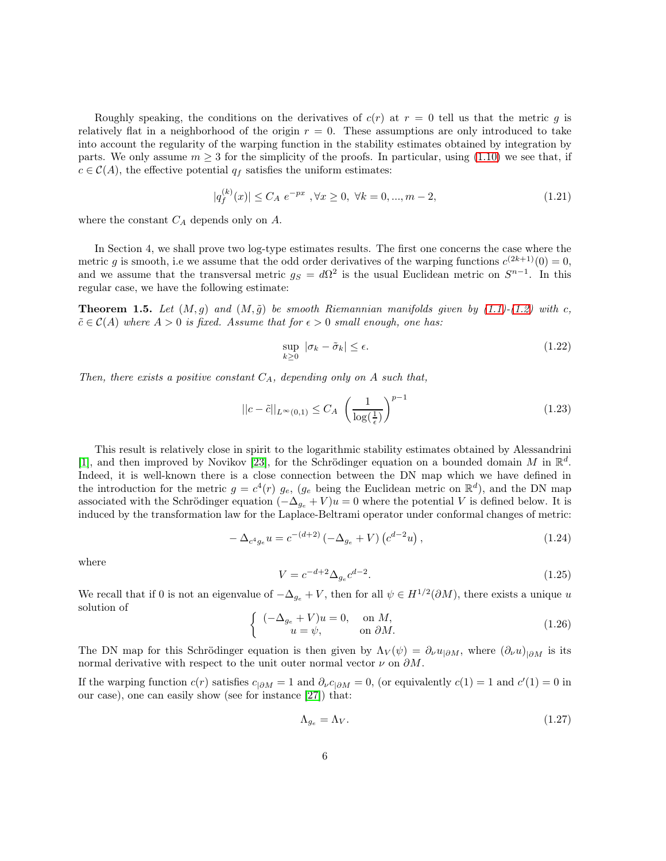Roughly speaking, the conditions on the derivatives of  $c(r)$  at  $r = 0$  tell us that the metric g is relatively flat in a neighborhood of the origin  $r = 0$ . These assumptions are only introduced to take into account the regularity of the warping function in the stability estimates obtained by integration by parts. We only assume  $m > 3$  for the simplicity of the proofs. In particular, using [\(1.10\)](#page-2-2) we see that, if  $c \in \mathcal{C}(A)$ , the effective potential  $q_f$  satisfies the uniform estimates:

<span id="page-5-1"></span>
$$
|q_f^{(k)}(x)| \le C_A e^{-px}, \forall x \ge 0, \ \forall k = 0, ..., m - 2,
$$
\n(1.21)

where the constant  $C_A$  depends only on  $A$ .

In Section 4, we shall prove two log-type estimates results. The first one concerns the case where the metric g is smooth, i.e we assume that the odd order derivatives of the warping functions  $c^{(2k+1)}(0) = 0$ , and we assume that the transversal metric  $g_S = d\Omega^2$  is the usual Euclidean metric on  $S^{n-1}$ . In this regular case, we have the following estimate:

<span id="page-5-0"></span>**Theorem 1.5.** Let  $(M, g)$  and  $(M, \tilde{g})$  be smooth Riemannian manifolds given by [\(1.1\)](#page-1-2)-[\(1.2\)](#page-1-1) with c,  $\tilde{c} \in \mathcal{C}(A)$  where  $A > 0$  is fixed. Assume that for  $\epsilon > 0$  small enough, one has:

$$
\sup_{k\geq 0} |\sigma_k - \tilde{\sigma}_k| \leq \epsilon.
$$
\n(1.22)

Then, there exists a positive constant  $C_A$ , depending only on A such that,

$$
||c - \tilde{c}||_{L^{\infty}(0,1)} \le C_A \left(\frac{1}{\log(\frac{1}{\epsilon})}\right)^{p-1}
$$
\n(1.23)

This result is relatively close in spirit to the logarithmic stability estimates obtained by Alessandrini [\[1\]](#page-26-0), and then improved by Novikov [\[23\]](#page-27-6), for the Schrödinger equation on a bounded domain M in  $\mathbb{R}^d$ . Indeed, it is well-known there is a close connection between the DN map which we have defined in the introduction for the metric  $g = c^4(r)$   $g_e$ ,  $(g_e$  being the Euclidean metric on  $\mathbb{R}^d$ ), and the DN map associated with the Schrödinger equation  $(-\Delta_{g_e} + V)u = 0$  where the potential V is defined below. It is induced by the transformation law for the Laplace-Beltrami operator under conformal changes of metric:

$$
-\Delta_{c^4 g_e} u = c^{-(d+2)} \left( -\Delta_{g_e} + V \right) \left( c^{d-2} u \right), \tag{1.24}
$$

where

$$
V = c^{-d+2} \Delta_{g_e} c^{d-2}.
$$
\n(1.25)

We recall that if 0 is not an eigenvalue of  $-\Delta_{g_e} + V$ , then for all  $\psi \in H^{1/2}(\partial M)$ , there exists a unique u solution of

$$
\begin{cases}\n(-\Delta_{g_e} + V)u = 0, & \text{on } M, \\
u = \psi, & \text{on } \partial M.\n\end{cases}
$$
\n(1.26)

The DN map for this Schrödinger equation is then given by  $\Lambda_V(\psi) = \partial_\nu u_{|\partial M}$ , where  $(\partial_\nu u)_{|\partial M}$  is its normal derivative with respect to the unit outer normal vector  $\nu$  on  $\partial M$ .

If the warping function  $c(r)$  satisfies  $c_{|\partial M} = 1$  and  $\partial_{\nu} c_{|\partial M} = 0$ , (or equivalently  $c(1) = 1$  and  $c'(1) = 0$  in our case), one can easily show (see for instance [\[27\]](#page-27-2)) that:

$$
\Lambda_{g_e} = \Lambda_V. \tag{1.27}
$$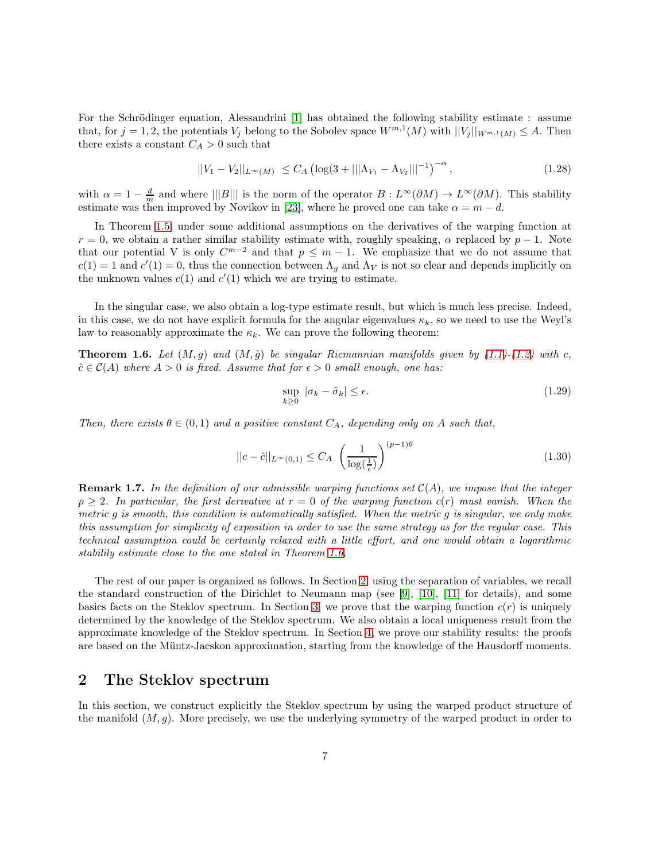For the Schrödinger equation, Alessandrini [\[1\]](#page-26-0) has obtained the following stability estimate : assume that, for  $j = 1, 2$ , the potentials  $V_j$  belong to the Sobolev space  $W^{m,1}(M)$  with  $||V_j||_{W^{m,1}(M)} \leq A$ . Then there exists a constant  $C_A > 0$  such that

$$
||V_1 - V_2||_{L^{\infty}(M)} \le C_A \left(\log(3 + |||\Lambda_{V_1} - \Lambda_{V_2}|||^{-1})^{-\alpha}\right), \tag{1.28}
$$

with  $\alpha = 1 - \frac{d}{m}$  and where  $\| |B|||$  is the norm of the operator  $B: L^{\infty}(\partial M) \to L^{\infty}(\partial M)$ . This stability estimate was then improved by Novikov in [\[23\]](#page-27-6), where he proved one can take  $\alpha = m - d$ .

In Theorem [1.5,](#page-5-0) under some additional assumptions on the derivatives of the warping function at  $r = 0$ , we obtain a rather similar stability estimate with, roughly speaking,  $\alpha$  replaced by  $p - 1$ . Note that our potential V is only  $C^{m-2}$  and that  $p \leq m-1$ . We emphasize that we do not assume that  $c(1) = 1$  and  $c'(1) = 0$ , thus the connection between  $\Lambda_g$  and  $\Lambda_V$  is not so clear and depends implicitly on the unknown values  $c(1)$  and  $c'(1)$  which we are trying to estimate.

In the singular case, we also obtain a log-type estimate result, but which is much less precise. Indeed, in this case, we do not have explicit formula for the angular eigenvalues  $\kappa_k$ , so we need to use the Weyl's law to reasonably approximate the  $\kappa_k$ . We can prove the following theorem:

<span id="page-6-1"></span>**Theorem 1.6.** Let  $(M, g)$  and  $(M, \tilde{g})$  be singular Riemannian manifolds given by [\(1.1\)](#page-1-2)-[\(1.2\)](#page-1-1) with c,  $\tilde{c} \in \mathcal{C}(A)$  where  $A > 0$  is fixed. Assume that for  $\epsilon > 0$  small enough, one has:

$$
\sup_{k\geq 0} |\sigma_k - \tilde{\sigma}_k| \leq \epsilon. \tag{1.29}
$$

Then, there exists  $\theta \in (0,1)$  and a positive constant  $C_A$ , depending only on A such that,

$$
||c - \tilde{c}||_{L^{\infty}(0,1)} \le C_A \left(\frac{1}{\log(\frac{1}{\epsilon})}\right)^{(p-1)\theta} \tag{1.30}
$$

**Remark 1.7.** In the definition of our admissible warping functions set  $C(A)$ , we impose that the integer  $p \geq 2$ . In particular, the first derivative at  $r = 0$  of the warping function  $c(r)$  must vanish. When the metric g is smooth, this condition is automatically satisfied. When the metric g is singular, we only make this assumption for simplicity of exposition in order to use the same strategy as for the regular case. This technical assumption could be certainly relaxed with a little effort, and one would obtain a logarithmic stabilily estimate close to the one stated in Theorem [1.6.](#page-6-1)

The rest of our paper is organized as follows. In Section [2,](#page-6-0) using the separation of variables, we recall the standard construction of the Dirichlet to Neumann map (see [\[9\]](#page-26-1), [\[10\]](#page-26-2), [\[11\]](#page-26-3) for details), and some basics facts on the Steklov spectrum. In Section [3,](#page-10-0) we prove that the warping function  $c(r)$  is uniquely determined by the knowledge of the Steklov spectrum. We also obtain a local uniqueness result from the approximate knowledge of the Steklov spectrum. In Section [4,](#page-12-0) we prove our stability results: the proofs are based on the Müntz-Jacskon approximation, starting from the knowledge of the Hausdorff moments.

## <span id="page-6-0"></span>2 The Steklov spectrum

In this section, we construct explicitly the Steklov spectrum by using the warped product structure of the manifold  $(M, g)$ . More precisely, we use the underlying symmetry of the warped product in order to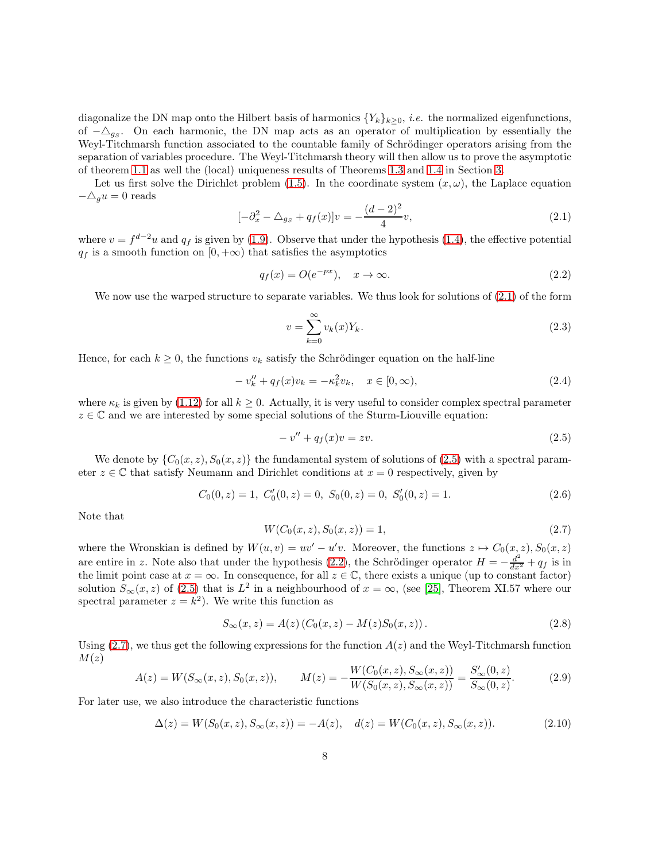diagonalize the DN map onto the Hilbert basis of harmonics  $\{Y_k\}_{k>0}$ , *i.e.* the normalized eigenfunctions, of  $-\Delta_{gs}$ . On each harmonic, the DN map acts as an operator of multiplication by essentially the Weyl-Titchmarsh function associated to the countable family of Schrödinger operators arising from the separation of variables procedure. The Weyl-Titchmarsh theory will then allow us to prove the asymptotic of theorem [1.1](#page-3-1) as well the (local) uniqueness results of Theorems [1.3](#page-4-0) and [1.4](#page-4-2) in Section [3.](#page-10-0)

Let us first solve the Dirichlet problem [\(1.5\)](#page-2-0). In the coordinate system  $(x, \omega)$ , the Laplace equation  $-\triangle_g u = 0$  reads

<span id="page-7-0"></span>
$$
[-\partial_x^2 - \triangle_{gs} + q_f(x)]v = -\frac{(d-2)^2}{4}v,\tag{2.1}
$$

where  $v = f^{d-2}u$  and  $q_f$  is given by [\(1.9\)](#page-2-1). Observe that under the hypothesis [\(1.4\)](#page-1-3), the effective potential  $q_f$  is a smooth function on  $[0, +\infty)$  that satisfies the asymptotics

<span id="page-7-2"></span>
$$
q_f(x) = O(e^{-px}), \quad x \to \infty.
$$
\n(2.2)

We now use the warped structure to separate variables. We thus look for solutions of  $(2.1)$  of the form

$$
v = \sum_{k=0}^{\infty} v_k(x) Y_k.
$$
\n(2.3)

Hence, for each  $k \geq 0$ , the functions  $v_k$  satisfy the Schrödinger equation on the half-line

<span id="page-7-4"></span>
$$
-v''_k + q_f(x)v_k = -\kappa_k^2 v_k, \quad x \in [0, \infty), \tag{2.4}
$$

where  $\kappa_k$  is given by [\(1.12\)](#page-3-2) for all  $k \geq 0$ . Actually, it is very useful to consider complex spectral parameter  $z \in \mathbb{C}$  and we are interested by some special solutions of the Sturm-Liouville equation:

<span id="page-7-1"></span>
$$
-v'' + q_f(x)v = zv.
$$
\n<sup>(2.5)</sup>

We denote by  $\{C_0(x, z), S_0(x, z)\}\$  the fundamental system of solutions of [\(2.5\)](#page-7-1) with a spectral parameter  $z \in \mathbb{C}$  that satisfy Neumann and Dirichlet conditions at  $x = 0$  respectively, given by

$$
C_0(0, z) = 1, C'_0(0, z) = 0, S_0(0, z) = 0, S'_0(0, z) = 1.
$$
\n(2.6)

Note that

<span id="page-7-3"></span>
$$
W(C_0(x, z), S_0(x, z)) = 1,
$$
\n(2.7)

where the Wronskian is defined by  $W(u, v) = uv' - u'v$ . Moreover, the functions  $z \mapsto C_0(x, z)$ ,  $S_0(x, z)$ are entire in z. Note also that under the hypothesis [\(2.2\)](#page-7-2), the Schrödinger operator  $H = -\frac{d^2}{dx^2} + q_f$  is in the limit point case at  $x = \infty$ . In consequence, for all  $z \in \mathbb{C}$ , there exists a unique (up to constant factor) solution  $S_{\infty}(x, z)$  of [\(2.5\)](#page-7-1) that is  $L^2$  in a neighbourhood of  $x = \infty$ , (see [\[25\]](#page-27-7), Theorem XI.57 where our spectral parameter  $z = k^2$ ). We write this function as

$$
S_{\infty}(x, z) = A(z) (C_0(x, z) - M(z)S_0(x, z)).
$$
\n(2.8)

Using  $(2.7)$ , we thus get the following expressions for the function  $A(z)$  and the Weyl-Titchmarsh function  $M(z)$ 

<span id="page-7-6"></span>
$$
A(z) = W(S_{\infty}(x, z), S_0(x, z)), \qquad M(z) = -\frac{W(C_0(x, z), S_{\infty}(x, z))}{W(S_0(x, z), S_{\infty}(x, z))} = \frac{S'_{\infty}(0, z)}{S_{\infty}(0, z)}.
$$
(2.9)

For later use, we also introduce the characteristic functions

<span id="page-7-5"></span>
$$
\Delta(z) = W(S_0(x, z), S_\infty(x, z)) = -A(z), \quad d(z) = W(C_0(x, z), S_\infty(x, z)).
$$
\n(2.10)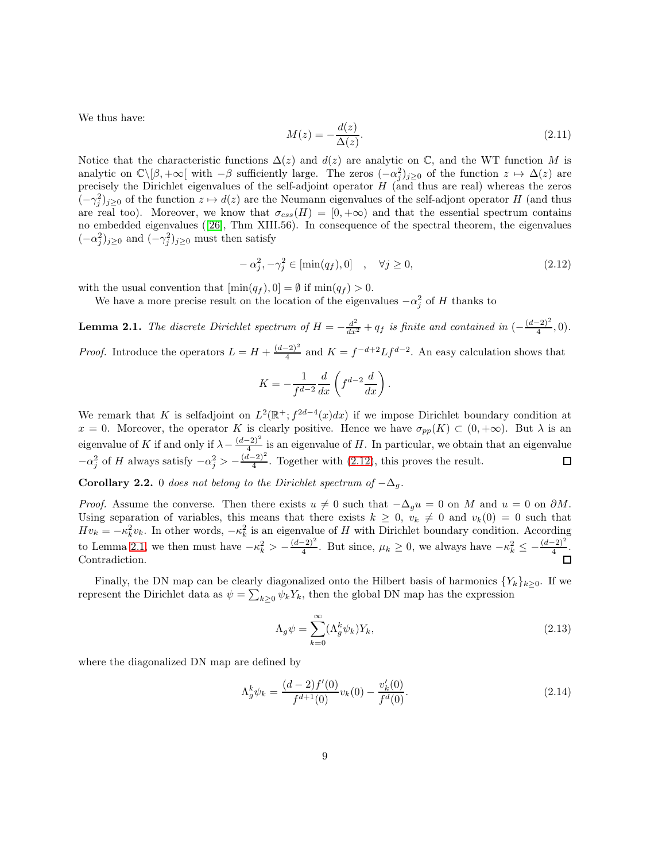We thus have:

$$
M(z) = -\frac{d(z)}{\Delta(z)}.\t(2.11)
$$

Notice that the characteristic functions  $\Delta(z)$  and  $d(z)$  are analytic on  $\mathbb{C}$ , and the WT function M is analytic on  $\mathbb{C}\setminus[\beta, +\infty[$  with  $-\beta$  sufficiently large. The zeros  $(-\alpha_j^2)_{j\geq 0}$  of the function  $z \mapsto \Delta(z)$  are precisely the Dirichlet eigenvalues of the self-adjoint operator  $H$  (and thus are real) whereas the zeros  $(-\gamma_j^2)_{j\geq 0}$  of the function  $z \mapsto d(z)$  are the Neumann eigenvalues of the self-adjont operator H (and thus are real too). Moreover, we know that  $\sigma_{ess}(H) = [0, +\infty)$  and that the essential spectrum contains no embedded eigenvalues ([\[26\]](#page-27-8), Thm XIII.56). In consequence of the spectral theorem, the eigenvalues  $(-\alpha_j^2)_{j\geq 0}$  and  $(-\gamma_j^2)_{j\geq 0}$  must then satisfy

<span id="page-8-0"></span>
$$
-\alpha_j^2, -\gamma_j^2 \in [\min(q_f), 0] \quad , \quad \forall j \ge 0,
$$
\n
$$
(2.12)
$$

with the usual convention that  $[\min(q_f), 0] = \emptyset$  if  $\min(q_f) > 0$ .

We have a more precise result on the location of the eigenvalues  $-\alpha_j^2$  of H thanks to

<span id="page-8-1"></span>**Lemma 2.1.** The discrete Dirichlet spectrum of  $H = -\frac{d^2}{dx^2} + q_f$  is finite and contained in  $\left(-\frac{(d-2)^2}{4}, 0\right)$ . *Proof.* Introduce the operators  $L = H + \frac{(d-2)^2}{4}$  and  $K = f^{-d+2} L f^{d-2}$ . An easy calculation shows that

$$
K = -\frac{1}{f^{d-2}} \frac{d}{dx} \left( f^{d-2} \frac{d}{dx} \right).
$$

We remark that K is selfadjoint on  $L^2(\mathbb{R}^+; f^{2d-4}(x)dx)$  if we impose Dirichlet boundary condition at  $x = 0$ . Moreover, the operator K is clearly positive. Hence we have  $\sigma_{pp}(K) \subset (0, +\infty)$ . But  $\lambda$  is an eigenvalue of K if and only if  $\lambda - \frac{(d-2)^2}{4}$  is an eigenvalue of H. In particular, we obtain that an eigenvalue  $-\alpha_j^2$  of H always satisfy  $-\alpha_j^2 > -\frac{(d-2)^2}{4}$ . Together with [\(2.12\)](#page-8-0), this proves the result.

**Corollary 2.2.** 0 does not belong to the Dirichlet spectrum of  $-\Delta_q$ .

*Proof.* Assume the converse. Then there exists  $u \neq 0$  such that  $-\Delta_q u = 0$  on M and  $u = 0$  on  $\partial M$ . Using separation of variables, this means that there exists  $k \geq 0$ ,  $v_k \neq 0$  and  $v_k(0) = 0$  such that  $Hv_k = -\kappa_k^2 v_k$ . In other words,  $-\kappa_k^2$  is an eigenvalue of H with Dirichlet boundary condition. According to Lemma [2.1,](#page-8-1) we then must have  $-\kappa_k^2 > -\frac{(d-2)^2}{4}$ . But since,  $\mu_k \ge 0$ , we always have  $-\kappa_k^2 \le -\frac{(d-2)^2}{4}$ . Contradiction.

Finally, the DN map can be clearly diagonalized onto the Hilbert basis of harmonics  $\{Y_k\}_{k\geq 0}$ . If we represent the Dirichlet data as  $\psi = \sum_{k \geq 0} \psi_k Y_k$ , then the global DN map has the expression

$$
\Lambda_g \psi = \sum_{k=0}^{\infty} (\Lambda_g^k \psi_k) Y_k,
$$
\n(2.13)

where the diagonalized DN map are defined by

$$
\Lambda_g^k \psi_k = \frac{(d-2)f'(0)}{f^{d+1}(0)} v_k(0) - \frac{v'_k(0)}{f^d(0)}.
$$
\n(2.14)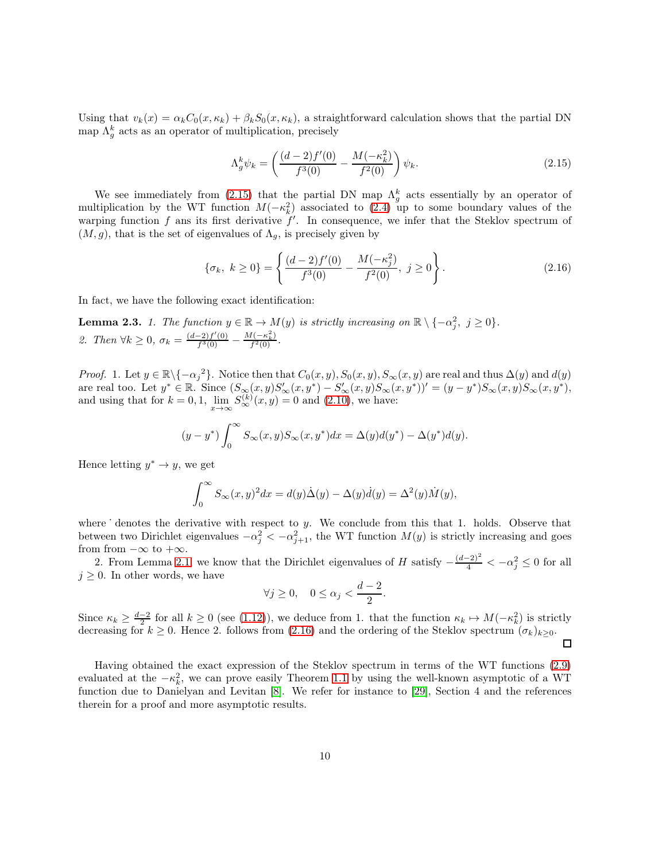Using that  $v_k(x) = \alpha_k C_0(x, \kappa_k) + \beta_k S_0(x, \kappa_k)$ , a straightforward calculation shows that the partial DN map  $\Lambda_g^k$  acts as an operator of multiplication, precisely

<span id="page-9-0"></span>
$$
\Lambda_g^k \psi_k = \left( \frac{(d-2)f'(0)}{f^3(0)} - \frac{M(-\kappa_k^2)}{f^2(0)} \right) \psi_k.
$$
\n(2.15)

We see immediately from [\(2.15\)](#page-9-0) that the partial DN map  $\Lambda_g^k$  acts essentially by an operator of multiplication by the WT function  $M(-\kappa_k^2)$  associated to [\(2.4\)](#page-7-4) up to some boundary values of the warping function  $f$  ans its first derivative  $f'$ . In consequence, we infer that the Steklov spectrum of  $(M, g)$ , that is the set of eigenvalues of  $\Lambda_q$ , is precisely given by

<span id="page-9-1"></span>
$$
\{\sigma_k, \ k \ge 0\} = \left\{ \frac{(d-2)f'(0)}{f^3(0)} - \frac{M(-\kappa_j^2)}{f^2(0)}, \ j \ge 0 \right\}.
$$
 (2.16)

In fact, we have the following exact identification:

<span id="page-9-2"></span>**Lemma 2.3.** 1. The function  $y \in \mathbb{R} \to M(y)$  is strictly increasing on  $\mathbb{R} \setminus \{-\alpha_j^2, j \geq 0\}$ . 2. Then  $\forall k \geq 0, \sigma_k = \frac{(d-2)f'(0)}{f^3(0)}$  $\frac{(-2)f'(0)}{f^3(0)} - \frac{M(-\kappa_k^2)}{f^2(0)}$  $\frac{f(-\kappa_k)}{f^2(0)}$ .

Proof. 1. Let  $y \in \mathbb{R} \setminus \{-\alpha_j^2\}$ . Notice then that  $C_0(x, y), S_0(x, y), S_\infty(x, y)$  are real and thus  $\Delta(y)$  and  $d(y)$ are real too. Let  $y^* \in \mathbb{R}$ . Since  $(S_\infty(x, y)S_\infty'(x, y^*) - S_\infty'(x, y)S_\infty(x, y^*))' = (y - y^*)S_\infty(x, y)S_\infty(x, y^*),$ and using that for  $k = 0, 1$ ,  $\lim_{x \to \infty} S_{\infty}^{(k)}(x, y) = 0$  and [\(2.10\)](#page-7-5), we have:

$$
(y-y^*)\int_0^\infty S_\infty(x,y)S_\infty(x,y^*)dx = \Delta(y)d(y^*) - \Delta(y^*)d(y).
$$

Hence letting  $y^* \to y$ , we get

$$
\int_0^\infty S_\infty(x,y)^2 dx = d(y)\dot{\Delta}(y) - \Delta(y)\dot{d}(y) = \Delta^2(y)\dot{M}(y),
$$

where  $\dot{}$  denotes the derivative with respect to y. We conclude from this that 1. holds. Observe that between two Dirichlet eigenvalues  $-\alpha_j^2 < -\alpha_{j+1}^2$ , the WT function  $M(y)$  is strictly increasing and goes from from  $-\infty$  to  $+\infty$ .

2. From Lemma [2.1,](#page-8-1) we know that the Dirichlet eigenvalues of H satisfy  $-\frac{(d-2)^2}{4} < -\alpha_j^2 \leq 0$  for all  $j \geq 0$ . In other words, we have

$$
\forall j \ge 0, \quad 0 \le \alpha_j < \frac{d-2}{2}.
$$

Since  $\kappa_k \geq \frac{d-2}{2}$  for all  $k \geq 0$  (see [\(1.12\)](#page-3-2)), we deduce from 1. that the function  $\kappa_k \mapsto M(-\kappa_k^2)$  is strictly decreasing for  $k \geq 0$ . Hence 2. follows from [\(2.16\)](#page-9-1) and the ordering of the Steklov spectrum  $(\sigma_k)_{k\geq 0}$ .  $\Box$ 

Having obtained the exact expression of the Steklov spectrum in terms of the WT functions [\(2.9\)](#page-7-6) evaluated at the  $-\kappa_k^2$ , we can prove easily Theorem [1.1](#page-3-1) by using the well-known asymptotic of a WT function due to Danielyan and Levitan [\[8\]](#page-26-4). We refer for instance to [\[29\]](#page-27-9), Section 4 and the references therein for a proof and more asymptotic results.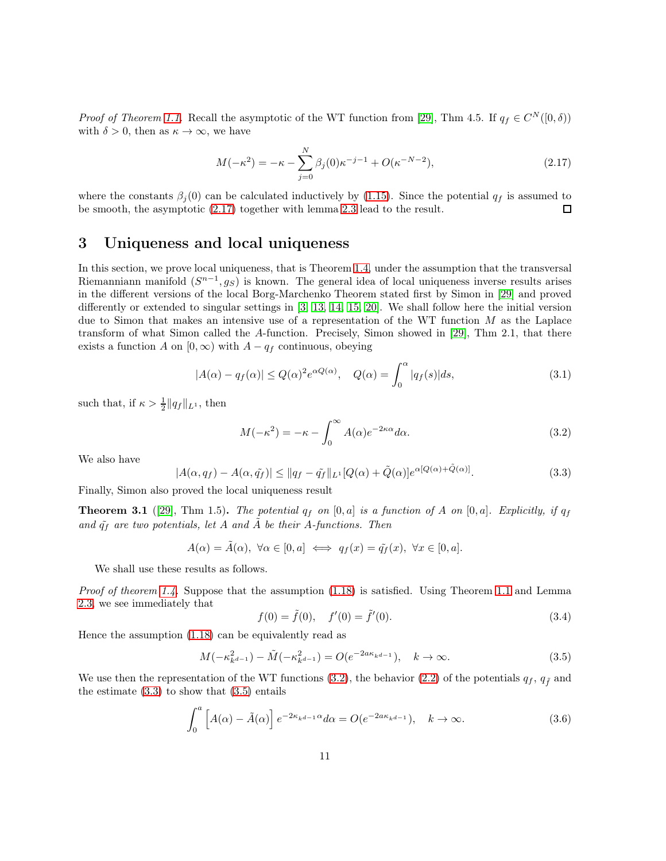*Proof of Theorem [1.1.](#page-3-1)* Recall the asymptotic of the WT function from [\[29\]](#page-27-9), Thm 4.5. If  $q_f \in C^N([0,\delta))$ with  $\delta > 0$ , then as  $\kappa \to \infty$ , we have

<span id="page-10-1"></span>
$$
M(-\kappa^2) = -\kappa - \sum_{j=0}^{N} \beta_j(0)\kappa^{-j-1} + O(\kappa^{-N-2}),
$$
\n(2.17)

where the constants  $\beta_j(0)$  can be calculated inductively by [\(1.15\)](#page-3-3). Since the potential  $q_f$  is assumed to be smooth, the asymptotic [\(2.17\)](#page-10-1) together with lemma [2.3](#page-9-2) lead to the result. П

## <span id="page-10-0"></span>3 Uniqueness and local uniqueness

In this section, we prove local uniqueness, that is Theorem [1.4,](#page-4-2) under the assumption that the transversal Riemanniann manifold  $(S^{n-1}, g_S)$  is known. The general idea of local uniqueness inverse results arises in the different versions of the local Borg-Marchenko Theorem stated first by Simon in [\[29\]](#page-27-9) and proved differently or extended to singular settings in [\[3,](#page-26-5) [13,](#page-26-6) [14,](#page-26-7) [15,](#page-27-10) [20\]](#page-27-11). We shall follow here the initial version due to Simon that makes an intensive use of a representation of the WT function  $M$  as the Laplace transform of what Simon called the A-function. Precisely, Simon showed in [\[29\]](#page-27-9), Thm 2.1, that there exists a function A on  $[0, \infty)$  with  $A - q_f$  continuous, obeying

$$
|A(\alpha) - q_f(\alpha)| \le Q(\alpha)^2 e^{\alpha Q(\alpha)}, \quad Q(\alpha) = \int_0^\alpha |q_f(s)| ds,
$$
\n(3.1)

such that, if  $\kappa > \frac{1}{2} ||q_f||_{L^1}$ , then

<span id="page-10-2"></span>
$$
M(-\kappa^2) = -\kappa - \int_0^\infty A(\alpha)e^{-2\kappa\alpha}d\alpha.
$$
 (3.2)

We also have

<span id="page-10-3"></span>
$$
|A(\alpha, q_f) - A(\alpha, \tilde{q}_f)| \le ||q_f - \tilde{q}_f||_{L^1}[Q(\alpha) + \tilde{Q}(\alpha)]e^{\alpha[Q(\alpha) + \tilde{Q}(\alpha)]}.
$$
\n(3.3)

Finally, Simon also proved the local uniqueness result

<span id="page-10-5"></span>**Theorem 3.1** ([\[29\]](#page-27-9), Thm 1.5). The potential  $q_f$  on [0, a] is a function of A on [0, a]. Explicitly, if  $q_f$ and  $\tilde{q}_f$  are two potentials, let A and A be their A-functions. Then

$$
A(\alpha) = \tilde{A}(\alpha), \ \forall \alpha \in [0, a] \iff q_f(x) = \tilde{q}_f(x), \ \forall x \in [0, a].
$$

We shall use these results as follows.

Proof of theorem [1.4.](#page-4-2) Suppose that the assumption  $(1.18)$  is satisfied. Using Theorem [1.1](#page-3-1) and Lemma [2.3,](#page-9-2) we see immediately that

<span id="page-10-6"></span>
$$
f(0) = \tilde{f}(0), \quad f'(0) = \tilde{f}'(0). \tag{3.4}
$$

Hence the assumption [\(1.18\)](#page-4-1) can be equivalently read as

<span id="page-10-4"></span>
$$
M(-\kappa_{k^{d-1}}^2) - \tilde{M}(-\kappa_{k^{d-1}}^2) = O(e^{-2a\kappa_{k^{d-1}}}), \quad k \to \infty.
$$
 (3.5)

We use then the representation of the WT functions [\(3.2\)](#page-10-2), the behavior [\(2.2\)](#page-7-2) of the potentials  $q_f$ ,  $q_{\tilde{f}}$  and the estimate  $(3.3)$  to show that  $(3.5)$  entails

$$
\int_0^a \left[ A(\alpha) - \tilde{A}(\alpha) \right] e^{-2\kappa_k d - 1\alpha} d\alpha = O(e^{-2a\kappa_k d - 1}), \quad k \to \infty.
$$
 (3.6)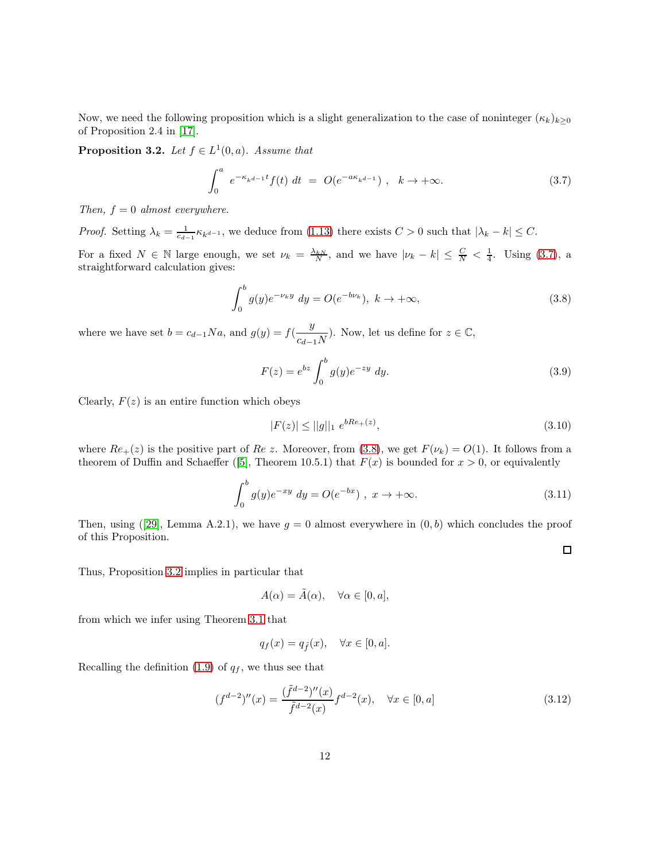Now, we need the following proposition which is a slight generalization to the case of noninteger  $(\kappa_k)_{k\geq 0}$ of Proposition 2.4 in [\[17\]](#page-27-12).

<span id="page-11-2"></span>**Proposition 3.2.** Let  $f \in L^1(0, a)$ . Assume that

<span id="page-11-0"></span>
$$
\int_0^a e^{-\kappa_k d - 1} f(t) dt = O(e^{-a\kappa_k d - 1}), \quad k \to +\infty.
$$
 (3.7)

Then,  $f = 0$  almost everywhere.

*Proof.* Setting  $\lambda_k = \frac{1}{c_{d-1}} \kappa_{k^{d-1}}$ , we deduce from [\(1.13\)](#page-3-0) there exists  $C > 0$  such that  $|\lambda_k - k| \leq C$ .

For a fixed  $N \in \mathbb{N}$  large enough, we set  $\nu_k = \frac{\lambda_k}{N}$ , and we have  $|\nu_k - k| \leq \frac{C}{N} < \frac{1}{4}$ . Using [\(3.7\)](#page-11-0), a straightforward calculation gives:

<span id="page-11-1"></span>
$$
\int_0^b g(y)e^{-\nu_k y} dy = O(e^{-b\nu_k}), \ k \to +\infty,
$$
\n(3.8)

where we have set  $b = c_{d-1}Na$ , and  $g(y) = f(\frac{y}{c_d})$  $\frac{y}{c_{d-1}N}$ ). Now, let us define for  $z \in \mathbb{C}$ ,

$$
F(z) = e^{bz} \int_0^b g(y)e^{-zy} dy.
$$
 (3.9)

Clearly,  $F(z)$  is an entire function which obeys

$$
|F(z)| \le ||g||_1 e^{bRe_+(z)}, \tag{3.10}
$$

 $\Box$ 

where  $Re_{+}(z)$  is the positive part of  $Re\ z$ . Moreover, from [\(3.8\)](#page-11-1), we get  $F(\nu_k) = O(1)$ . It follows from a theorem of Duffin and Schaeffer ([\[5\]](#page-26-8), Theorem 10.5.1) that  $F(x)$  is bounded for  $x > 0$ , or equivalently

$$
\int_0^b g(y)e^{-xy} dy = O(e^{-bx}), \ x \to +\infty.
$$
\n(3.11)

Then, using ([\[29\]](#page-27-9), Lemma A.2.1), we have  $g = 0$  almost everywhere in  $(0, b)$  which concludes the proof of this Proposition.

Thus, Proposition [3.2](#page-11-2) implies in particular that

$$
A(\alpha) = \tilde{A}(\alpha), \quad \forall \alpha \in [0, a],
$$

from which we infer using Theorem [3.1](#page-10-5) that

$$
q_f(x) = q_{\tilde{f}}(x), \quad \forall x \in [0, a].
$$

Recalling the definition [\(1.9\)](#page-2-1) of  $q_f$ , we thus see that

<span id="page-11-3"></span>
$$
(f^{d-2})''(x) = \frac{(\tilde{f}^{d-2})''(x)}{\tilde{f}^{d-2}(x)} f^{d-2}(x), \quad \forall x \in [0, a]
$$
\n(3.12)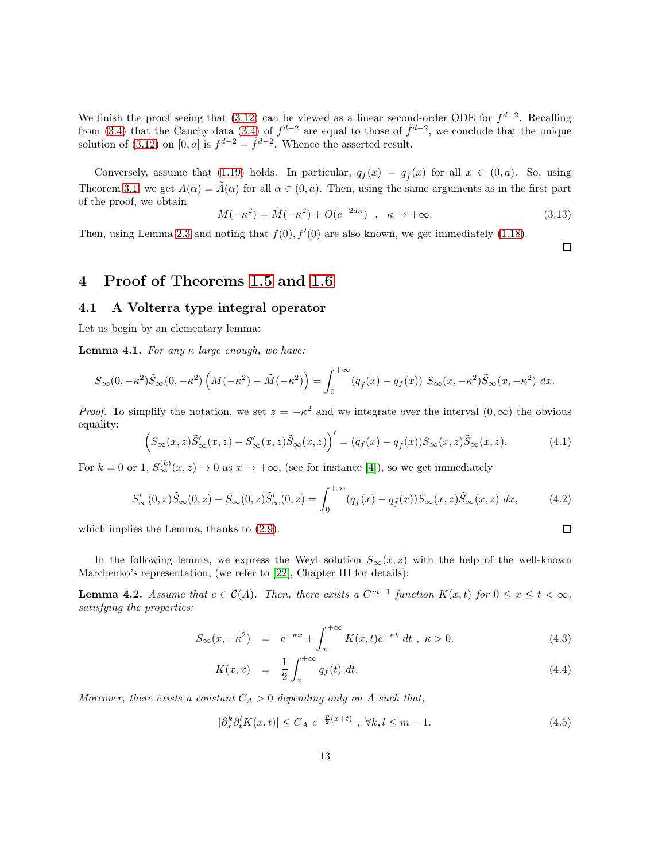We finish the proof seeing that  $(3.12)$  can be viewed as a linear second-order ODE for  $f^{d-2}$ . Recalling from [\(3.4\)](#page-10-6) that the Cauchy data (3.4) of  $f^{d-2}$  are equal to those of  $\tilde{f}^{d-2}$ , we conclude that the unique solution of [\(3.12\)](#page-11-3) on [0, a] is  $f^{d-2} = \tilde{f}^{d-2}$ . Whence the asserted result.

Conversely, assume that [\(1.19\)](#page-4-1) holds. In particular,  $q_f(x) = q_{\tilde{f}}(x)$  for all  $x \in (0, a)$ . So, using Theorem [3.1,](#page-10-5) we get  $A(\alpha) = \tilde{A}(\alpha)$  for all  $\alpha \in (0, a)$ . Then, using the same arguments as in the first part of the proof, we obtain

$$
M(-\kappa^2) = \tilde{M}(-\kappa^2) + O(e^{-2a\kappa}) \quad , \quad \kappa \to +\infty. \tag{3.13}
$$

Then, using Lemma [2.3](#page-9-2) and noting that  $f(0), f'(0)$  are also known, we get immediately [\(1.18\)](#page-4-1).

 $\Box$ 

# <span id="page-12-1"></span><span id="page-12-0"></span>4 Proof of Theorems [1.5](#page-5-0) and [1.6](#page-6-1)

### 4.1 A Volterra type integral operator

Let us begin by an elementary lemma:

<span id="page-12-4"></span>**Lemma 4.1.** For any  $\kappa$  large enough, we have:

$$
S_{\infty}(0, -\kappa^2)\tilde{S}_{\infty}(0, -\kappa^2)\left(M(-\kappa^2) - \tilde{M}(-\kappa^2)\right) = \int_0^{+\infty} (q_{\tilde{f}}(x) - q_f(x)) S_{\infty}(x, -\kappa^2)\tilde{S}_{\infty}(x, -\kappa^2) dx.
$$

*Proof.* To simplify the notation, we set  $z = -\kappa^2$  and we integrate over the interval  $(0, \infty)$  the obvious equality:

$$
\left(S_{\infty}(x,z)\tilde{S}_{\infty}'(x,z) - S_{\infty}'(x,z)\tilde{S}_{\infty}(x,z)\right)' = (q_f(x) - q_{\tilde{f}}(x))S_{\infty}(x,z)\tilde{S}_{\infty}(x,z). \tag{4.1}
$$

For  $k = 0$  or 1,  $S_{\infty}^{(k)}(x, z) \to 0$  as  $x \to +\infty$ , (see for instance [\[4\]](#page-26-9)), so we get immediately

$$
S'_{\infty}(0, z)\tilde{S}_{\infty}(0, z) - S_{\infty}(0, z)\tilde{S}'_{\infty}(0, z) = \int_0^{+\infty} (q_f(x) - q_{\tilde{f}}(x))S_{\infty}(x, z)\tilde{S}_{\infty}(x, z) dx,
$$
 (4.2)

which implies the Lemma, thanks to [\(2.9\)](#page-7-6).

In the following lemma, we express the Weyl solution  $S_{\infty}(x, z)$  with the help of the well-known Marchenko's representation, (we refer to [\[22\]](#page-27-13), Chapter III for details):

<span id="page-12-3"></span>**Lemma 4.2.** Assume that  $c \in C(A)$ . Then, there exists a  $C^{m-1}$  function  $K(x,t)$  for  $0 \le x \le t < \infty$ , satisfying the properties:

$$
S_{\infty}(x, -\kappa^2) = e^{-\kappa x} + \int_x^{+\infty} K(x, t)e^{-\kappa t} dt, \quad \kappa > 0.
$$
 (4.3)

$$
K(x,x) = \frac{1}{2} \int_{x}^{+\infty} q_f(t) \, dt. \tag{4.4}
$$

Moreover, there exists a constant  $C_A > 0$  depending only on A such that,

<span id="page-12-2"></span>
$$
|\partial_x^k \partial_t^l K(x,t)| \le C_A e^{-\frac{p}{2}(x+t)}, \ \forall k, l \le m-1. \tag{4.5}
$$

 $\Box$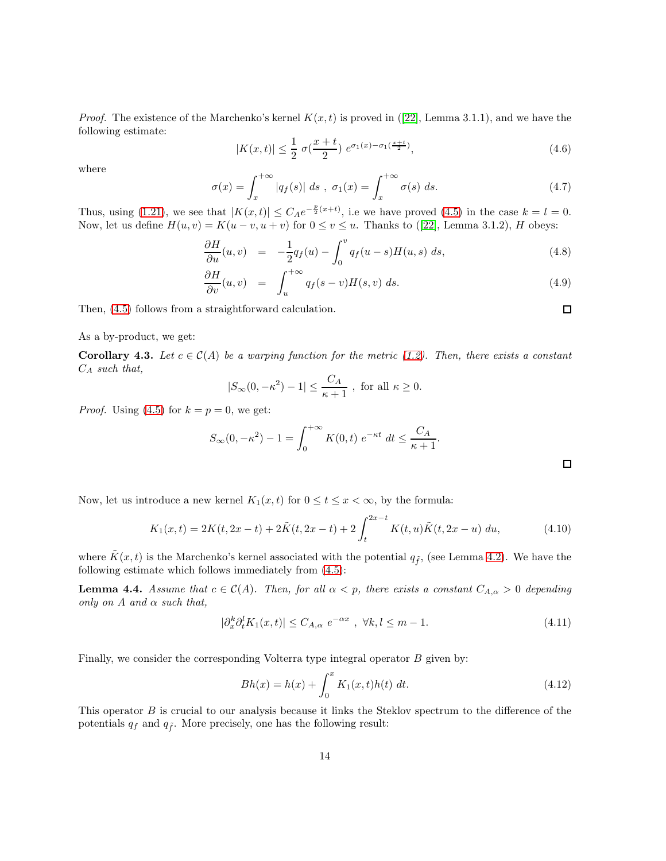*Proof.* The existence of the Marchenko's kernel  $K(x, t)$  is proved in ([\[22\]](#page-27-13), Lemma 3.1.1), and we have the following estimate:

$$
|K(x,t)| \le \frac{1}{2} \sigma(\frac{x+t}{2}) e^{\sigma_1(x) - \sigma_1(\frac{x+t}{2})}, \tag{4.6}
$$

where

$$
\sigma(x) = \int_{x}^{+\infty} |q_f(s)| \, ds \, , \, \sigma_1(x) = \int_{x}^{+\infty} \sigma(s) \, ds. \tag{4.7}
$$

Thus, using [\(1.21\)](#page-5-1), we see that  $|K(x,t)| \leq C_A e^{-\frac{p}{2}(x+t)}$ , i.e we have proved [\(4.5\)](#page-12-2) in the case  $k = l = 0$ . Now, let us define  $H(u, v) = K(u - v, u + v)$  for  $0 \le v \le u$ . Thanks to ([\[22\]](#page-27-13), Lemma 3.1.2), H obeys:

$$
\frac{\partial H}{\partial u}(u,v) = -\frac{1}{2}q_f(u) - \int_0^v q_f(u-s)H(u,s) \, ds,\tag{4.8}
$$

$$
\frac{\partial H}{\partial v}(u,v) = \int_{u}^{+\infty} q_f(s-v)H(s,v) ds.
$$
\n(4.9)

Then, [\(4.5\)](#page-12-2) follows from a straightforward calculation.

As a by-product, we get:

<span id="page-13-1"></span>**Corollary 4.3.** Let  $c \in \mathcal{C}(A)$  be a warping function for the metric [\(1.2\)](#page-1-1). Then, there exists a constant  $C_A$  such that,

$$
|S_{\infty}(0, -\kappa^2) - 1| \le \frac{C_A}{\kappa + 1}
$$
, for all  $\kappa \ge 0$ .

*Proof.* Using [\(4.5\)](#page-12-2) for  $k = p = 0$ , we get:

$$
S_{\infty}(0, -\kappa^{2}) - 1 = \int_{0}^{+\infty} K(0, t) e^{-\kappa t} dt \le \frac{C_{A}}{\kappa + 1}.
$$

Now, let us introduce a new kernel  $K_1(x, t)$  for  $0 \le t \le x < \infty$ , by the formula:

$$
K_1(x,t) = 2K(t, 2x - t) + 2\tilde{K}(t, 2x - t) + 2\int_t^{2x - t} K(t, u)\tilde{K}(t, 2x - u) du,
$$
\n(4.10)

where  $\tilde{K}(x, t)$  is the Marchenko's kernel associated with the potential  $q_{\tilde{f}}$ , (see Lemma [4.2\)](#page-12-3). We have the following estimate which follows immediately from [\(4.5\)](#page-12-2):

<span id="page-13-2"></span>**Lemma 4.4.** Assume that  $c \in \mathcal{C}(A)$ . Then, for all  $\alpha < p$ , there exists a constant  $C_{A,\alpha} > 0$  depending only on  $A$  and  $\alpha$  such that,

<span id="page-13-0"></span>
$$
|\partial_x^k \partial_t^l K_1(x,t)| \le C_{A,\alpha} e^{-\alpha x}, \ \forall k, l \le m-1. \tag{4.11}
$$

Finally, we consider the corresponding Volterra type integral operator B given by:

$$
Bh(x) = h(x) + \int_0^x K_1(x, t)h(t) dt.
$$
 (4.12)

This operator B is crucial to our analysis because it links the Steklov spectrum to the difference of the potentials  $q_f$  and  $q_{\tilde{f}}$ . More precisely, one has the following result:

 $\Box$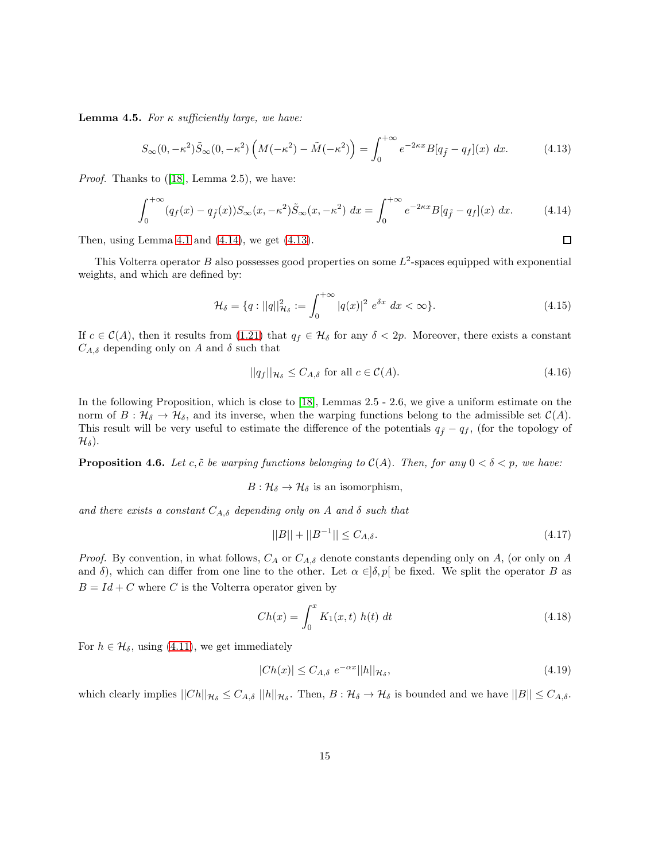**Lemma 4.5.** For  $\kappa$  sufficiently large, we have:

<span id="page-14-1"></span>
$$
S_{\infty}(0, -\kappa^2)\tilde{S}_{\infty}(0, -\kappa^2)\left(M(-\kappa^2) - \tilde{M}(-\kappa^2)\right) = \int_0^{+\infty} e^{-2\kappa x} B[q_{\tilde{f}} - q_f](x) dx.
$$
 (4.13)

*Proof.* Thanks to  $([18], \text{ Lemma } 2.5)$  $([18], \text{ Lemma } 2.5)$  $([18], \text{ Lemma } 2.5)$ , we have:

<span id="page-14-0"></span>
$$
\int_0^{+\infty} (q_f(x) - q_{\tilde{f}}(x)) S_\infty(x, -\kappa^2) \tilde{S}_\infty(x, -\kappa^2) dx = \int_0^{+\infty} e^{-2\kappa x} B[q_{\tilde{f}} - q_f](x) dx.
$$
 (4.14)

Then, using Lemma [4.1](#page-12-4) and  $(4.14)$ , we get  $(4.13)$ .

This Volterra operator B also possesses good properties on some  $L^2$ -spaces equipped with exponential weights, and which are defined by:

$$
\mathcal{H}_{\delta} = \{q : ||q||_{\mathcal{H}_{\delta}}^2 := \int_0^{+\infty} |q(x)|^2 \ e^{\delta x} \ dx < \infty\}.
$$
 (4.15)

If  $c \in \mathcal{C}(A)$ , then it results from [\(1.21\)](#page-5-1) that  $q_f \in \mathcal{H}_\delta$  for any  $\delta < 2p$ . Moreover, there exists a constant  $C_{A,\delta}$  depending only on A and  $\delta$  such that

$$
||q_f||_{\mathcal{H}_\delta} \le C_{A,\delta} \text{ for all } c \in \mathcal{C}(A). \tag{4.16}
$$

In the following Proposition, which is close to [\[18\]](#page-27-14), Lemmas 2.5 - 2.6, we give a uniform estimate on the norm of  $B: \mathcal{H}_{\delta} \to \mathcal{H}_{\delta}$ , and its inverse, when the warping functions belong to the admissible set  $\mathcal{C}(A)$ . This result will be very useful to estimate the difference of the potentials  $q_f - q_f$ , (for the topology of  $\mathcal{H}_{\delta}$ ).

<span id="page-14-2"></span>**Proposition 4.6.** Let c,  $\tilde{c}$  be warping functions belonging to  $C(A)$ . Then, for any  $0 < \delta < p$ , we have:

 $B: \mathcal{H}_{\delta} \to \mathcal{H}_{\delta}$  is an isomorphism,

and there exists a constant  $C_{A,\delta}$  depending only on A and  $\delta$  such that

$$
||B|| + ||B^{-1}|| \le C_{A,\delta}.\tag{4.17}
$$

*Proof.* By convention, in what follows,  $C_A$  or  $C_{A,\delta}$  denote constants depending only on A, (or only on A and  $\delta$ ), which can differ from one line to the other. Let  $\alpha \in ]\delta, p[$  be fixed. We split the operator B as  $B = Id + C$  where C is the Volterra operator given by

$$
Ch(x) = \int_0^x K_1(x, t) \ h(t) \ dt \tag{4.18}
$$

For  $h \in \mathcal{H}_{\delta}$ , using [\(4.11\)](#page-13-0), we get immediately

$$
|Ch(x)| \le C_{A,\delta} e^{-\alpha x} ||h||_{\mathcal{H}_{\delta}},\tag{4.19}
$$

which clearly implies  $||Ch||_{\mathcal{H}_{\delta}} \leq C_{A,\delta} ||h||_{\mathcal{H}_{\delta}}$ . Then,  $B: \mathcal{H}_{\delta} \to \mathcal{H}_{\delta}$  is bounded and we have  $||B|| \leq C_{A,\delta}$ .

 $\Box$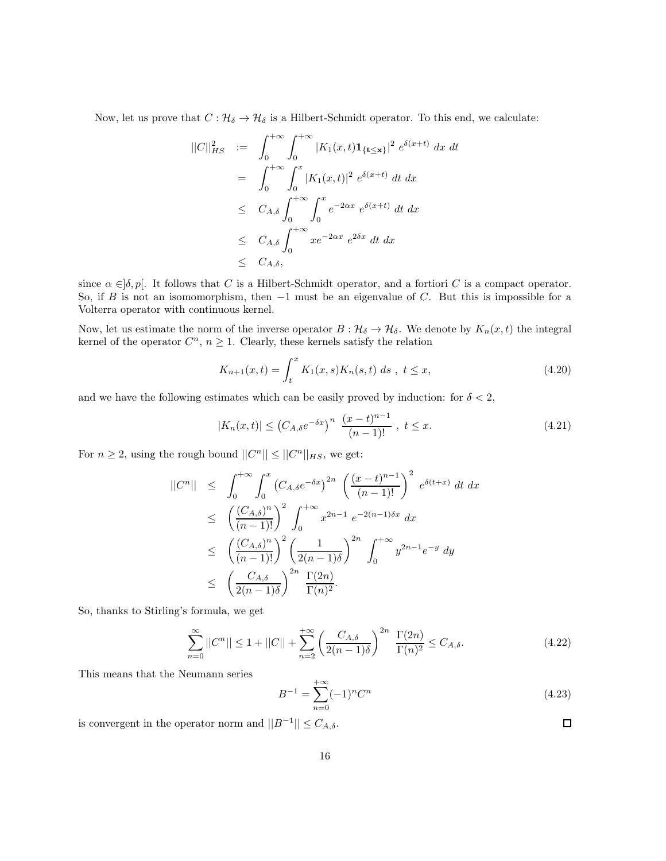Now, let us prove that  $C : \mathcal{H}_{\delta} \to \mathcal{H}_{\delta}$  is a Hilbert-Schmidt operator. To this end, we calculate:

$$
||C||_{HS}^{2} := \int_{0}^{+\infty} \int_{0}^{+\infty} |K_{1}(x,t) \mathbf{1}_{\{t \le x\}}|^{2} e^{\delta(x+t)} dx dt
$$
  
\n
$$
= \int_{0}^{+\infty} \int_{0}^{x} |K_{1}(x,t)|^{2} e^{\delta(x+t)} dt dx
$$
  
\n
$$
\le C_{A,\delta} \int_{0}^{+\infty} \int_{0}^{x} e^{-2\alpha x} e^{\delta(x+t)} dt dx
$$
  
\n
$$
\le C_{A,\delta} \int_{0}^{+\infty} x e^{-2\alpha x} e^{2\delta x} dt dx
$$
  
\n
$$
\le C_{A,\delta},
$$

since  $\alpha \in ]\delta, p[$ . It follows that C is a Hilbert-Schmidt operator, and a fortiori C is a compact operator. So, if B is not an isomomorphism, then  $-1$  must be an eigenvalue of C. But this is impossible for a Volterra operator with continuous kernel.

Now, let us estimate the norm of the inverse operator  $B: \mathcal{H}_{\delta} \to \mathcal{H}_{\delta}$ . We denote by  $K_n(x, t)$  the integral kernel of the operator  $C^n$ ,  $n \geq 1$ . Clearly, these kernels satisfy the relation

$$
K_{n+1}(x,t) = \int_{t}^{x} K_{1}(x,s)K_{n}(s,t) \, ds \, , \, t \leq x,\tag{4.20}
$$

and we have the following estimates which can be easily proved by induction: for  $\delta < 2$ ,

$$
|K_n(x,t)| \le (C_{A,\delta}e^{-\delta x})^n \ \frac{(x-t)^{n-1}}{(n-1)!} \ , \ t \le x. \tag{4.21}
$$

For  $n \geq 2$ , using the rough bound  $||C^n|| \leq ||C^n||_{HS}$ , we get:

$$
||C^{n}|| \leq \int_{0}^{+\infty} \int_{0}^{x} (C_{A,\delta}e^{-\delta x})^{2n} \left(\frac{(x-t)^{n-1}}{(n-1)!}\right)^{2} e^{\delta(t+x)} dt dx
$$
  
\n
$$
\leq \left(\frac{(C_{A,\delta})^{n}}{(n-1)!}\right)^{2} \int_{0}^{+\infty} x^{2n-1} e^{-2(n-1)\delta x} dx
$$
  
\n
$$
\leq \left(\frac{(C_{A,\delta})^{n}}{(n-1)!}\right)^{2} \left(\frac{1}{2(n-1)\delta}\right)^{2n} \int_{0}^{+\infty} y^{2n-1} e^{-y} dy
$$
  
\n
$$
\leq \left(\frac{C_{A,\delta}}{2(n-1)\delta}\right)^{2n} \frac{\Gamma(2n)}{\Gamma(n)^{2}}.
$$

So, thanks to Stirling's formula, we get

$$
\sum_{n=0}^{\infty} ||C^n|| \le 1 + ||C|| + \sum_{n=2}^{+\infty} \left( \frac{C_{A,\delta}}{2(n-1)\delta} \right)^{2n} \frac{\Gamma(2n)}{\Gamma(n)^2} \le C_{A,\delta}.
$$
 (4.22)

This means that the Neumann series

$$
B^{-1} = \sum_{n=0}^{+\infty} (-1)^n C^n
$$
\n(4.23)

 $\Box$ 

is convergent in the operator norm and  $||B^{-1}|| \leq C_{A,\delta}$ .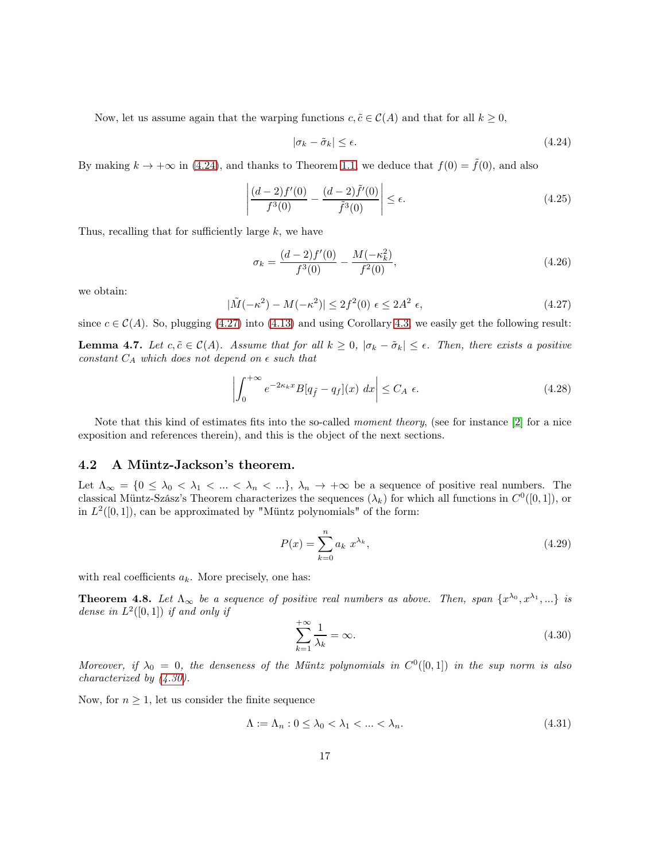Now, let us assume again that the warping functions  $c, \tilde{c} \in \mathcal{C}(A)$  and that for all  $k \geq 0$ ,

<span id="page-16-1"></span>
$$
|\sigma_k - \tilde{\sigma}_k| \le \epsilon. \tag{4.24}
$$

By making  $k \to +\infty$  in [\(4.24\)](#page-16-1), and thanks to Theorem [1.1,](#page-3-1) we deduce that  $f(0) = \tilde{f}(0)$ , and also

$$
\left| \frac{(d-2)f'(0)}{f^3(0)} - \frac{(d-2)\tilde{f}'(0)}{\tilde{f}^3(0)} \right| \le \epsilon.
$$
\n(4.25)

Thus, recalling that for sufficiently large  $k$ , we have

$$
\sigma_k = \frac{(d-2)f'(0)}{f^3(0)} - \frac{M(-\kappa_k^2)}{f^2(0)},\tag{4.26}
$$

we obtain:

<span id="page-16-2"></span>
$$
|\tilde{M}(-\kappa^2) - M(-\kappa^2)| \le 2f^2(0) \epsilon \le 2A^2 \epsilon,
$$
\n(4.27)

<span id="page-16-6"></span>since  $c \in \mathcal{C}(A)$ . So, plugging [\(4.27\)](#page-16-2) into [\(4.13\)](#page-14-1) and using Corollary [4.3,](#page-13-1) we easily get the following result: **Lemma 4.7.** Let  $c, \tilde{c} \in \mathcal{C}(A)$ . Assume that for all  $k \geq 0$ ,  $|\sigma_k - \tilde{\sigma}_k| \leq \epsilon$ . Then, there exists a positive constant  $C_A$  which does not depend on  $\epsilon$  such that

<span id="page-16-5"></span>
$$
\left| \int_0^{+\infty} e^{-2\kappa_k x} B[q_{\tilde{f}} - q_f](x) \, dx \right| \le C_A \, \epsilon. \tag{4.28}
$$

Note that this kind of estimates fits into the so-called moment theory, (see for instance [\[2\]](#page-26-10) for a nice exposition and references therein), and this is the object of the next sections.

#### <span id="page-16-0"></span>4.2 A Müntz-Jackson's theorem.

Let  $\Lambda_{\infty} = \{0 \leq \lambda_0 < \lambda_1 < \ldots < \lambda_n < \ldots\}, \lambda_n \to +\infty$  be a sequence of positive real numbers. The classical Müntz-Szász's Theorem characterizes the sequences  $(\lambda_k)$  for which all functions in  $C^0([0,1])$ , or in  $L^2([0,1])$ , can be approximated by "Müntz polynomials" of the form:

$$
P(x) = \sum_{k=0}^{n} a_k x^{\lambda_k},\tag{4.29}
$$

with real coefficients  $a_k$ . More precisely, one has:

<span id="page-16-4"></span>**Theorem 4.8.** Let  $\Lambda_{\infty}$  be a sequence of positive real numbers as above. Then, span  $\{x^{\lambda_0}, x^{\lambda_1}, ...\}$  is dense in  $L^2([0,1])$  if and only if

<span id="page-16-3"></span>
$$
\sum_{k=1}^{+\infty} \frac{1}{\lambda_k} = \infty.
$$
\n(4.30)

Moreover, if  $\lambda_0 = 0$ , the denseness of the Müntz polynomials in  $C^0([0,1])$  in the sup norm is also characterized by [\(4.30\)](#page-16-3).

Now, for  $n \geq 1$ , let us consider the finite sequence

$$
\Lambda := \Lambda_n : 0 \le \lambda_0 < \lambda_1 < \ldots < \lambda_n. \tag{4.31}
$$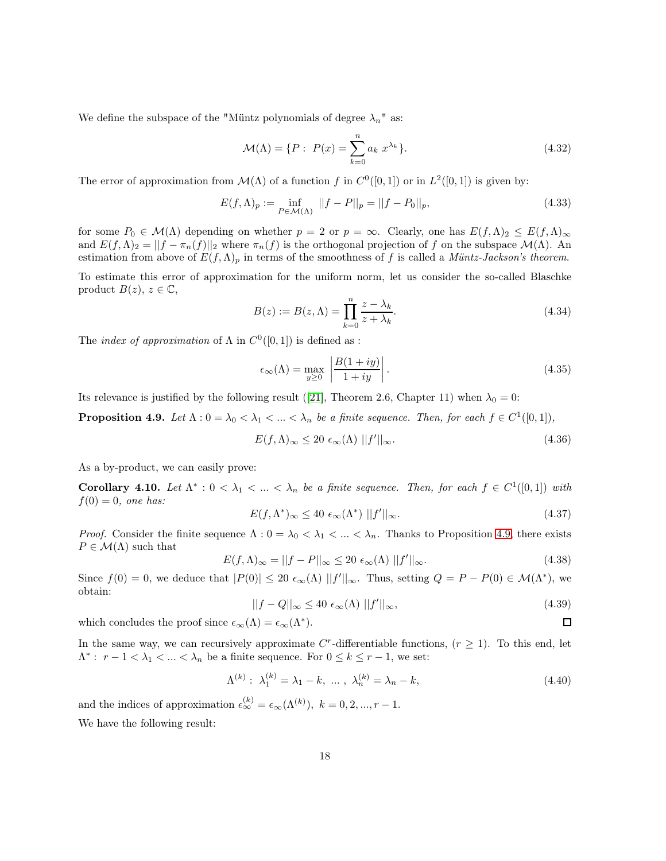We define the subspace of the "Müntz polynomials of degree  $\lambda_n$ " as:

$$
\mathcal{M}(\Lambda) = \{ P : \ P(x) = \sum_{k=0}^{n} a_k \ x^{\lambda_k} \}.
$$
 (4.32)

The error of approximation from  $\mathcal{M}(\Lambda)$  of a function f in  $C^0([0,1])$  or in  $L^2([0,1])$  is given by:

$$
E(f,\Lambda)_p := \inf_{P \in \mathcal{M}(\Lambda)} ||f - P||_p = ||f - P_0||_p,
$$
\n(4.33)

for some  $P_0 \in \mathcal{M}(\Lambda)$  depending on whether  $p = 2$  or  $p = \infty$ . Clearly, one has  $E(f, \Lambda)_2 \leq E(f, \Lambda)_{\infty}$ and  $E(f,\Lambda)_2 = ||f - \pi_n(f)||_2$  where  $\pi_n(f)$  is the orthogonal projection of f on the subspace  $\mathcal{M}(\Lambda)$ . An estimation from above of  $E(f,\Lambda)_p$  in terms of the smoothness of f is called a Müntz-Jackson's theorem.

To estimate this error of approximation for the uniform norm, let us consider the so-called Blaschke product  $B(z)$ ,  $z \in \mathbb{C}$ ,

$$
B(z) := B(z, \Lambda) = \prod_{k=0}^{n} \frac{z - \lambda_k}{z + \lambda_k}.
$$
\n(4.34)

The *index of approximation* of  $\Lambda$  in  $C^0([0,1])$  is defined as :

$$
\epsilon_{\infty}(\Lambda) = \max_{y \ge 0} \left| \frac{B(1+iy)}{1+iy} \right|.
$$
\n(4.35)

Its relevance is justified by the following result ([\[21\]](#page-27-15), Theorem 2.6, Chapter 11) when  $\lambda_0 = 0$ :

<span id="page-17-0"></span>**Proposition 4.9.** Let  $\Lambda : 0 = \lambda_0 < \lambda_1 < ... < \lambda_n$  be a finite sequence. Then, for each  $f \in C^1([0,1]),$ 

$$
E(f,\Lambda)_{\infty} \le 20 \epsilon_{\infty}(\Lambda) \, ||f'||_{\infty}.
$$
\n(4.36)

As a by-product, we can easily prove:

<span id="page-17-1"></span>Corollary 4.10. Let  $\Lambda^* : 0 < \lambda_1 < ... < \lambda_n$  be a finite sequence. Then, for each  $f \in C^1([0,1])$  with  $f(0) = 0$ , one has:

$$
E(f, \Lambda^*)_{\infty} \le 40 \epsilon_{\infty}(\Lambda^*) \, ||f'||_{\infty}.
$$
\n(4.37)

*Proof.* Consider the finite sequence  $\Lambda: 0 = \lambda_0 < \lambda_1 < ... < \lambda_n$ . Thanks to Proposition [4.9,](#page-17-0) there exists  $P \in \mathcal{M}(\Lambda)$  such that

$$
E(f,\Lambda)_{\infty} = ||f - P||_{\infty} \le 20 \epsilon_{\infty}(\Lambda) ||f'||_{\infty}.
$$
 (4.38)

Since  $f(0) = 0$ , we deduce that  $|P(0)| \leq 20 \epsilon_{\infty}(\Lambda) ||f'||_{\infty}$ . Thus, setting  $Q = P - P(0) \in \mathcal{M}(\Lambda^*)$ , we obtain:

$$
||f - Q||_{\infty} \le 40 \epsilon_{\infty}(\Lambda) ||f'||_{\infty}, \qquad (4.39)
$$

 $\Box$ 

which concludes the proof since  $\epsilon_{\infty}(\Lambda) = \epsilon_{\infty}(\Lambda^*).$ 

In the same way, we can recursively approximate  $C^r$ -differentiable functions,  $(r \geq 1)$ . To this end, let  $\Lambda^*$ :  $r-1 < \lambda_1 < ... < \lambda_n$  be a finite sequence. For  $0 \le k \le r-1$ , we set:

$$
\Lambda^{(k)}: \lambda_1^{(k)} = \lambda_1 - k, \dots, \lambda_n^{(k)} = \lambda_n - k,\tag{4.40}
$$

and the indices of approximation  $\epsilon_{\infty}^{(k)} = \epsilon_{\infty}(\Lambda^{(k)}), k = 0, 2, ..., r - 1.$ 

We have the following result: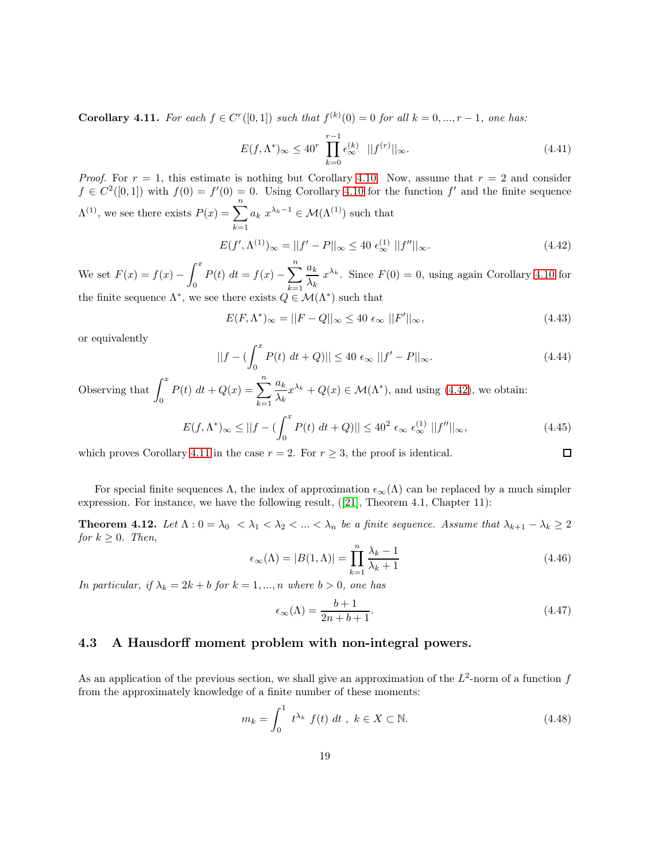<span id="page-18-2"></span>**Corollary 4.11.** For each  $f \in C^{r}([0,1])$  such that  $f^{(k)}(0) = 0$  for all  $k = 0, ..., r - 1$ , one has:

$$
E(f, \Lambda^*)_{\infty} \le 40^r \prod_{k=0}^{r-1} \epsilon_{\infty}^{(k)} \quad ||f^{(r)}||_{\infty}.
$$
 (4.41)

*Proof.* For  $r = 1$ , this estimate is nothing but Corollary [4.10.](#page-17-1) Now, assume that  $r = 2$  and consider  $f \in C^2([0,1])$  with  $f(0) = f'(0) = 0$ . Using Corollary [4.10](#page-17-1) for the function f' and the finite sequence  $\Lambda^{(1)}$ , we see there exists  $P(x) = \sum_{n=1}^{\infty}$  $k=1$  $a_k x^{\lambda_k-1} \in \mathcal{M}(\Lambda^{(1)})$  such that

<span id="page-18-1"></span>
$$
E(f', \Lambda^{(1)})_{\infty} = ||f' - P||_{\infty} \le 40 \epsilon_{\infty}^{(1)} ||f''||_{\infty}.
$$
 (4.42)

We set  $F(x) = f(x) \int_0^x$  $\int_0^x P(t) dt = f(x) - \sum_{k=1}^n$  $k=1$  $a_k$  $\frac{d_k}{\lambda_k} x^{\lambda_k}$ . Since  $F(0) = 0$ , using again Corollary [4.10](#page-17-1) for the finite sequence  $\Lambda^*$ , we see there exists  $Q \in \mathcal{M}(\Lambda^*)$  such that

$$
E(F, \Lambda^*)_{\infty} = ||F - Q||_{\infty} \le 40 \epsilon_{\infty} ||F'||_{\infty}, \tag{4.43}
$$

or equivalently

$$
||f - (\int_0^x P(t) \, dt + Q)|| \le 40 \, \epsilon_\infty \, ||f' - P||_\infty. \tag{4.44}
$$

Observing that 
$$
\int_0^x P(t) dt + Q(x) = \sum_{k=1}^n \frac{a_k}{\lambda_k} x^{\lambda_k} + Q(x) \in \mathcal{M}(\Lambda^*), \text{ and using (4.42), we obtain:}
$$

$$
E(f, \Lambda^*)_\infty \le ||f - (\int_0^x P(t) dt + Q)|| \le 40^2 \epsilon_\infty \epsilon_\infty^{(1)} ||f''||_\infty,
$$
(4.45)

which proves Corollary [4.11](#page-18-2) in the case  $r = 2$ . For  $r \geq 3$ , the proof is identical.

For special finite sequences  $\Lambda$ , the index of approximation  $\epsilon_{\infty}(\Lambda)$  can be replaced by a much simpler expression. For instance, we have the following result, ([\[21\]](#page-27-15), Theorem 4.1, Chapter 11):

<span id="page-18-3"></span>**Theorem 4.12.** Let  $\Lambda$  :  $0 = \lambda_0 < \lambda_1 < \lambda_2 < ... < \lambda_n$  be a finite sequence. Assume that  $\lambda_{k+1} - \lambda_k \geq 2$ for  $k \geq 0$ . Then,

$$
\epsilon_{\infty}(\Lambda) = |B(1,\Lambda)| = \prod_{k=1}^{n} \frac{\lambda_k - 1}{\lambda_k + 1}
$$
\n(4.46)

In particular, if  $\lambda_k = 2k + b$  for  $k = 1, ..., n$  where  $b > 0$ , one has

$$
\epsilon_{\infty}(\Lambda) = \frac{b+1}{2n+b+1}.\tag{4.47}
$$

 $\Box$ 

## <span id="page-18-0"></span>4.3 A Hausdorff moment problem with non-integral powers.

As an application of the previous section, we shall give an approximation of the  $L^2$ -norm of a function f from the approximately knowledge of a finite number of these moments:

$$
m_k = \int_0^1 t^{\lambda_k} f(t) dt, \ k \in X \subset \mathbb{N}.
$$
 (4.48)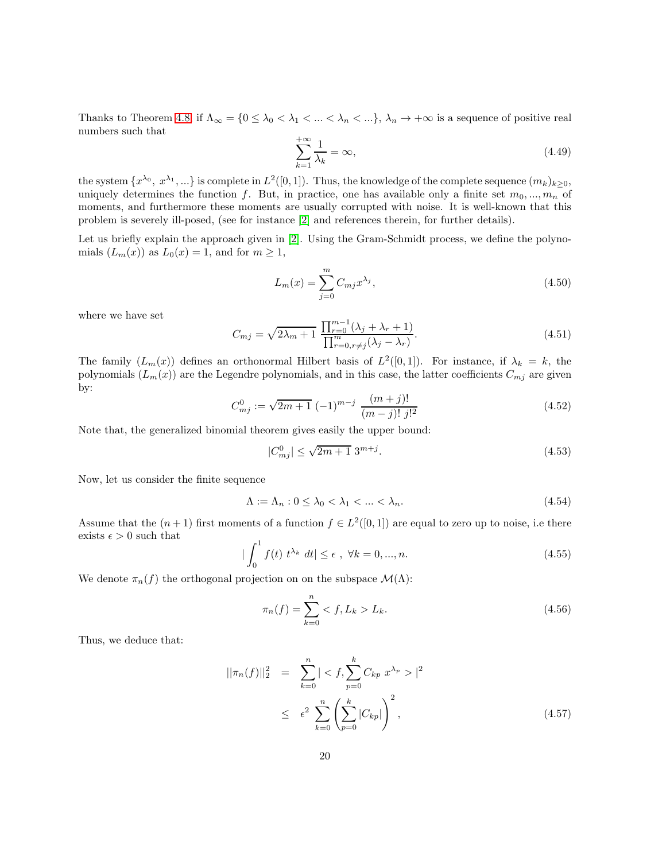Thanks to Theorem [4.8,](#page-16-4) if  $\Lambda_{\infty} = \{0 \leq \lambda_0 < \lambda_1 < ... < \lambda_n < ... \}, \lambda_n \to +\infty$  is a sequence of positive real numbers such that

$$
\sum_{k=1}^{+\infty} \frac{1}{\lambda_k} = \infty,\tag{4.49}
$$

the system  $\{x^{\lambda_0}, x^{\lambda_1}, ...\}$  is complete in  $L^2([0,1])$ . Thus, the knowledge of the complete sequence  $(m_k)_{k\geq 0}$ , uniquely determines the function f. But, in practice, one has available only a finite set  $m_0, ..., m_n$  of moments, and furthermore these moments are usually corrupted with noise. It is well-known that this problem is severely ill-posed, (see for instance [\[2\]](#page-26-10) and references therein, for further details).

Let us briefly explain the approach given in [\[2\]](#page-26-10). Using the Gram-Schmidt process, we define the polynomials  $(L_m(x))$  as  $L_0(x) = 1$ , and for  $m \geq 1$ ,

$$
L_m(x) = \sum_{j=0}^{m} C_{mj} x^{\lambda_j},
$$
\n(4.50)

where we have set

<span id="page-19-2"></span>
$$
C_{mj} = \sqrt{2\lambda_m + 1} \; \frac{\prod_{r=0}^{m-1} (\lambda_j + \lambda_r + 1)}{\prod_{r=0, r \neq j}^{m} (\lambda_j - \lambda_r)}.
$$
\n
$$
(4.51)
$$

The family  $(L_m(x))$  defines an orthonormal Hilbert basis of  $L^2([0,1])$ . For instance, if  $\lambda_k = k$ , the polynomials  $(L_m(x))$  are the Legendre polynomials, and in this case, the latter coefficients  $C_{mj}$  are given by:

<span id="page-19-1"></span>
$$
C_{mj}^0 := \sqrt{2m+1} \ (-1)^{m-j} \ \frac{(m+j)!}{(m-j)! \ j!^2} \tag{4.52}
$$

Note that, the generalized binomial theorem gives easily the upper bound:

<span id="page-19-3"></span>
$$
|C_{mj}^0| \le \sqrt{2m+1} \; 3^{m+j}.\tag{4.53}
$$

Now, let us consider the finite sequence

$$
\Lambda := \Lambda_n : 0 \le \lambda_0 < \lambda_1 < \ldots < \lambda_n. \tag{4.54}
$$

Assume that the  $(n+1)$  first moments of a function  $f \in L^2([0,1])$  are equal to zero up to noise, i.e there exists  $\epsilon > 0$  such that

<span id="page-19-0"></span>
$$
|\int_{0}^{1} f(t) \ t^{\lambda_k} \ dt| \le \epsilon \ , \ \forall k = 0, ..., n. \tag{4.55}
$$

We denote  $\pi_n(f)$  the orthogonal projection on on the subspace  $\mathcal{M}(\Lambda)$ :

$$
\pi_n(f) = \sum_{k=0}^n \langle f, L_k \rangle L_k. \tag{4.56}
$$

Thus, we deduce that:

$$
||\pi_n(f)||_2^2 = \sum_{k=0}^n |\langle f, \sum_{p=0}^k C_{kp} x^{\lambda_p} \rangle|^2
$$
  
 
$$
\leq \epsilon^2 \sum_{k=0}^n \left( \sum_{p=0}^k |C_{kp}| \right)^2,
$$
 (4.57)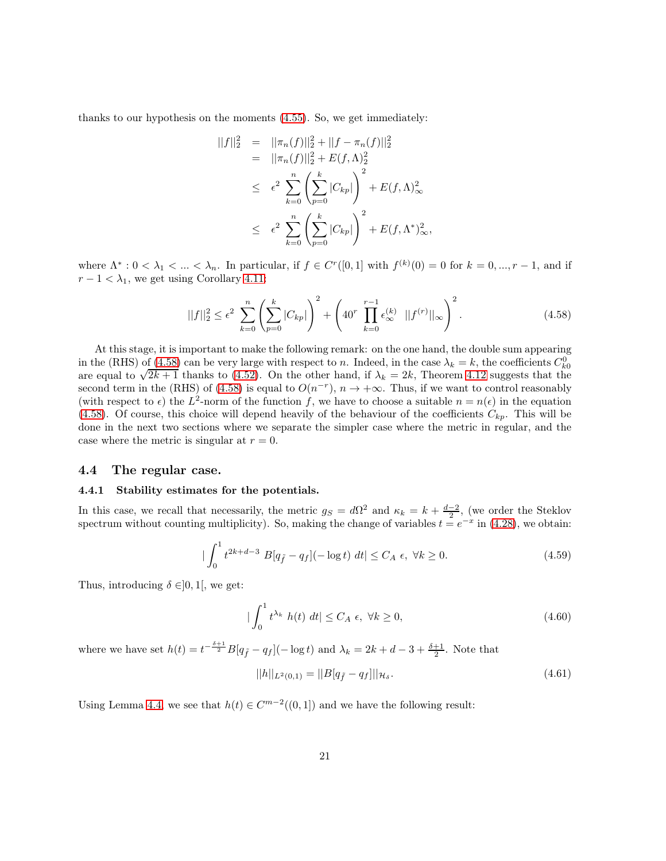thanks to our hypothesis on the moments [\(4.55\)](#page-19-0). So, we get immediately:

$$
||f||_2^2 = ||\pi_n(f)||_2^2 + ||f - \pi_n(f)||_2^2
$$
  
\n
$$
= ||\pi_n(f)||_2^2 + E(f, \Lambda)_2^2
$$
  
\n
$$
\leq \epsilon^2 \sum_{k=0}^n \left(\sum_{p=0}^k |C_{kp}|\right)^2 + E(f, \Lambda)_\infty^2
$$
  
\n
$$
\leq \epsilon^2 \sum_{k=0}^n \left(\sum_{p=0}^k |C_{kp}|\right)^2 + E(f, \Lambda^*)_\infty^2,
$$

where  $\Lambda^*: 0 < \lambda_1 < ... < \lambda_n$ . In particular, if  $f \in C^r([0,1]$  with  $f^{(k)}(0) = 0$  for  $k = 0, ..., r - 1$ , and if  $r - 1 < \lambda_1$ , we get using Corollary [4.11:](#page-18-2)

<span id="page-20-2"></span>
$$
||f||_2^2 \le \epsilon^2 \sum_{k=0}^n \left(\sum_{p=0}^k |C_{kp}|\right)^2 + \left(40^r \prod_{k=0}^{r-1} \epsilon_{\infty}^{(k)} ||f^{(r)}||_{\infty}\right)^2.
$$
 (4.58)

At this stage, it is important to make the following remark: on the one hand, the double sum appearing in the (RHS) of [\(4.58\)](#page-20-2) can be very large with respect to n. Indeed, in the case  $\lambda_k = k$ , the coefficients  $C_{k0}^0$ are equal to  $\sqrt{2k+1}$  thanks to [\(4.52\)](#page-19-1). On the other hand, if  $\lambda_k = 2k$ , Theorem [4.12](#page-18-3) suggests that the second term in the (RHS) of [\(4.58\)](#page-20-2) is equal to  $O(n^{-r})$ ,  $n \to +\infty$ . Thus, if we want to control reasonably (with respect to  $\epsilon$ ) the L<sup>2</sup>-norm of the function f, we have to choose a suitable  $n = n(\epsilon)$  in the equation [\(4.58\)](#page-20-2). Of course, this choice will depend heavily of the behaviour of the coefficients  $C_{kp}$ . This will be done in the next two sections where we separate the simpler case where the metric in regular, and the case where the metric is singular at  $r = 0$ .

#### <span id="page-20-1"></span><span id="page-20-0"></span>4.4 The regular case.

#### 4.4.1 Stability estimates for the potentials.

In this case, we recall that necessarily, the metric  $g_S = d\Omega^2$  and  $\kappa_k = k + \frac{d-2}{2}$ , (we order the Steklov spectrum without counting multiplicity). So, making the change of variables  $t = e^{-x}$  in [\(4.28\)](#page-16-5), we obtain:

$$
|\int_0^1 t^{2k+d-3} B[q_{\tilde{f}} - q_f](-\log t) dt| \le C_A \epsilon, \ \forall k \ge 0.
$$
 (4.59)

Thus, introducing  $\delta \in ]0,1[$ , we get:

$$
|\int_0^1 t^{\lambda_k} h(t) dt| \le C_A \epsilon, \ \forall k \ge 0,
$$
\n(4.60)

where we have set  $h(t) = t^{-\frac{\delta+1}{2}}B[q_{\tilde{f}} - q_f](-\log t)$  and  $\lambda_k = 2k + d - 3 + \frac{\delta+1}{2}$ . Note that

<span id="page-20-3"></span>
$$
||h||_{L^{2}(0,1)} = ||B[q_{\tilde{f}} - q_{f}]||_{\mathcal{H}_{\delta}}.
$$
\n(4.61)

Using Lemma [4.4,](#page-13-2) we see that  $h(t) \in C^{m-2}((0,1])$  and we have the following result: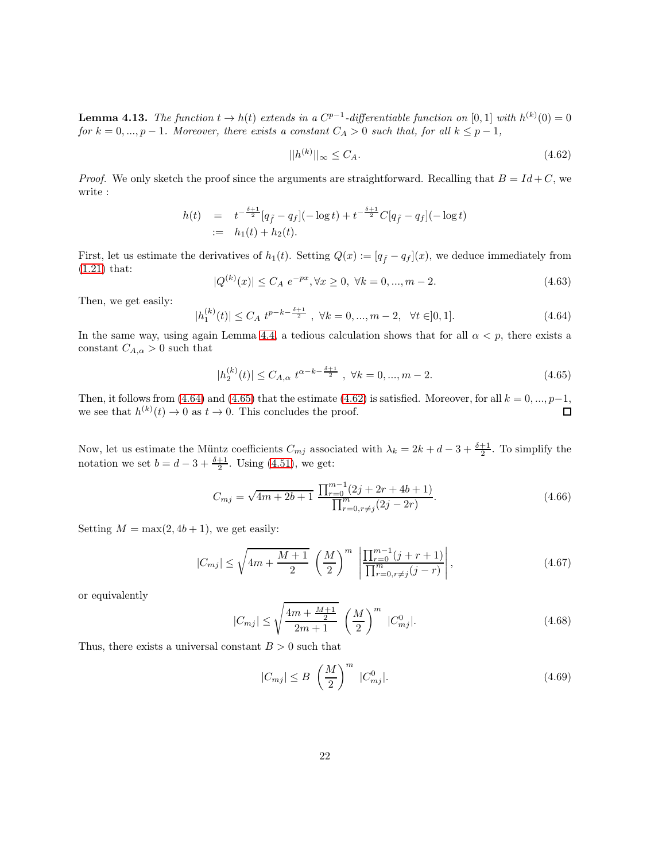**Lemma 4.13.** The function  $t \to h(t)$  extends in a  $C^{p-1}$ -differentiable function on [0, 1] with  $h^{(k)}(0) = 0$ for  $k = 0, ..., p - 1$ . Moreover, there exists a constant  $C_A > 0$  such that, for all  $k \leq p - 1$ ,

<span id="page-21-2"></span>
$$
||h^{(k)}||_{\infty} \le C_A. \tag{4.62}
$$

*Proof.* We only sketch the proof since the arguments are straightforward. Recalling that  $B = Id + C$ , we write :

$$
h(t) = t^{-\frac{\delta+1}{2}} [q_{\tilde{f}} - q_f](-\log t) + t^{-\frac{\delta+1}{2}} C[q_{\tilde{f}} - q_f](-\log t)
$$
  
 :=  $h_1(t) + h_2(t)$ .

First, let us estimate the derivatives of  $h_1(t)$ . Setting  $Q(x) := [q_f - q_f](x)$ , we deduce immediately from [\(1.21\)](#page-5-1) that:

$$
|Q^{(k)}(x)| \le C_A e^{-px}, \forall x \ge 0, \ \forall k = 0, ..., m - 2.
$$
 (4.63)

Then, we get easily:

<span id="page-21-0"></span>
$$
|h_1^{(k)}(t)| \le C_A \ t^{p-k - \frac{\delta + 1}{2}}, \ \forall k = 0, ..., m - 2, \ \forall t \in ]0, 1]. \tag{4.64}
$$

In the same way, using again Lemma [4.4,](#page-13-2) a tedious calculation shows that for all  $\alpha < p$ , there exists a constant  $C_{A,\alpha} > 0$  such that

<span id="page-21-1"></span>
$$
|h_2^{(k)}(t)| \le C_{A,\alpha} t^{\alpha - k - \frac{\delta + 1}{2}}, \quad \forall k = 0, ..., m - 2.
$$
 (4.65)

Then, it follows from [\(4.64\)](#page-21-0) and [\(4.65\)](#page-21-1) that the estimate [\(4.62\)](#page-21-2) is satisfied. Moreover, for all  $k = 0, ..., p-1$ , we see that  $h^{(k)}(t) \to 0$  as  $t \to 0$ . This concludes the proof. we see that  $h^{(k)}(t) \to 0$  as  $t \to 0$ . This concludes the proof.

Now, let us estimate the Müntz coefficients  $C_{mj}$  associated with  $\lambda_k = 2k + d - 3 + \frac{\delta+1}{2}$ . To simplify the notation we set  $b = d - 3 + \frac{\delta + 1}{2}$ . Using [\(4.51\)](#page-19-2), we get:

$$
C_{mj} = \sqrt{4m + 2b + 1} \; \frac{\prod_{r=0}^{m-1} (2j + 2r + 4b + 1)}{\prod_{r=0, r \neq j}^{m} (2j - 2r)}.
$$
\n(4.66)

Setting  $M = \max(2, 4b + 1)$ , we get easily:

$$
|C_{mj}| \le \sqrt{4m + \frac{M+1}{2}} \left(\frac{M}{2}\right)^m \left|\frac{\prod_{r=0}^{m-1} (j+r+1)}{\prod_{r=0, r\ne j}^{m} (j-r)}\right|,
$$
\n(4.67)

or equivalently

$$
|C_{mj}| \le \sqrt{\frac{4m + \frac{M+1}{2}}{2m+1}} \left(\frac{M}{2}\right)^m |C_{mj}^0|.
$$
 (4.68)

Thus, there exists a universal constant  $B > 0$  such that

<span id="page-21-3"></span>
$$
|C_{mj}| \le B \left(\frac{M}{2}\right)^m |C_{mj}^0|. \tag{4.69}
$$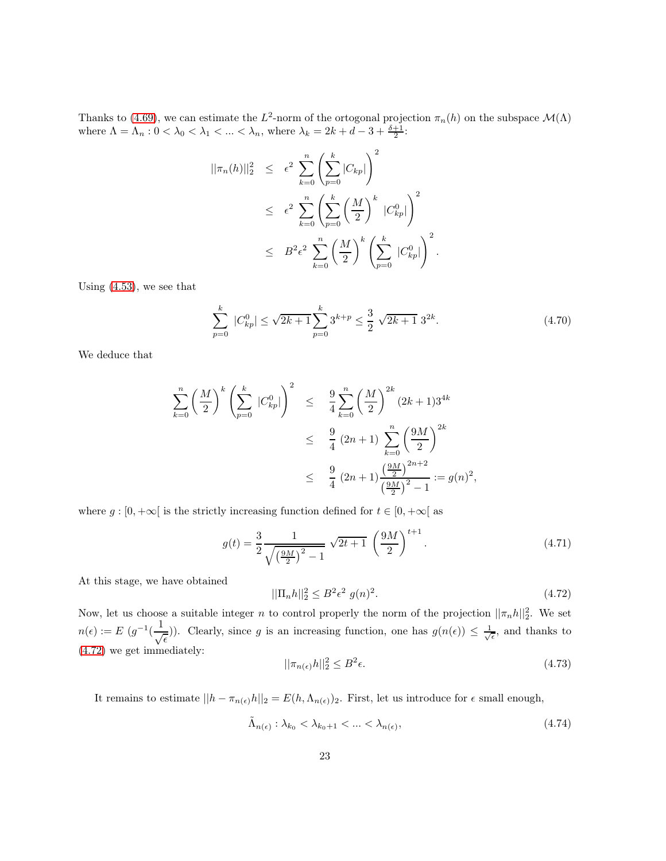Thanks to [\(4.69\)](#page-21-3), we can estimate the  $L^2$ -norm of the ortogonal projection  $\pi_n(h)$  on the subspace  $\mathcal{M}(\Lambda)$ where  $\Lambda = \Lambda_n : 0 < \lambda_0 < \lambda_1 < \ldots < \lambda_n$ , where  $\lambda_k = 2k + d - 3 + \frac{\delta + 1}{2}$ :

$$
||\pi_n(h)||_2^2 \leq \epsilon^2 \sum_{k=0}^n \left(\sum_{p=0}^k |C_{kp}|\right)^2
$$
  

$$
\leq \epsilon^2 \sum_{k=0}^n \left(\sum_{p=0}^k \left(\frac{M}{2}\right)^k |C_{kp}^0|\right)^2
$$
  

$$
\leq B^2 \epsilon^2 \sum_{k=0}^n \left(\frac{M}{2}\right)^k \left(\sum_{p=0}^k |C_{kp}^0|\right)^2.
$$

Using [\(4.53\)](#page-19-3), we see that

$$
\sum_{p=0}^{k} |C_{kp}^{0}| \le \sqrt{2k+1} \sum_{p=0}^{k} 3^{k+p} \le \frac{3}{2} \sqrt{2k+1} \ 3^{2k}.
$$
 (4.70)

We deduce that

$$
\sum_{k=0}^{n} \left(\frac{M}{2}\right)^{k} \left(\sum_{p=0}^{k} |C_{kp}^{0}|\right)^{2} \leq \frac{9}{4} \sum_{k=0}^{n} \left(\frac{M}{2}\right)^{2k} (2k+1)3^{4k}
$$
  

$$
\leq \frac{9}{4} (2n+1) \sum_{k=0}^{n} \left(\frac{9M}{2}\right)^{2k}
$$
  

$$
\leq \frac{9}{4} (2n+1) \frac{\left(\frac{9M}{2}\right)^{2n+2}}{\left(\frac{9M}{2}\right)^{2}-1} := g(n)^{2},
$$

where  $g : [0, +\infty[$  is the strictly increasing function defined for  $t \in [0, +\infty[$  as

$$
g(t) = \frac{3}{2} \frac{1}{\sqrt{\left(\frac{9M}{2}\right)^2 - 1}} \sqrt{2t + 1} \left(\frac{9M}{2}\right)^{t+1}.
$$
 (4.71)

At this stage, we have obtained

<span id="page-22-0"></span>
$$
||\Pi_n h||_2^2 \le B^2 \epsilon^2 \ g(n)^2. \tag{4.72}
$$

Now, let us choose a suitable integer n to control properly the norm of the projection  $||\pi_n h||_2^2$ . We set  $n(\epsilon) := E \frac{(g^{-1})}{4}$  $\frac{1}{\sqrt{\epsilon}}$ )). Clearly, since g is an increasing function, one has  $g(n(\epsilon)) \leq \frac{1}{\sqrt{\epsilon}}$ , and thanks to [\(4.72\)](#page-22-0) we get immediately:

<span id="page-22-1"></span>
$$
||\pi_{n(\epsilon)}h||_2^2 \le B^2 \epsilon. \tag{4.73}
$$

It remains to estimate  $||h - \pi_{n(\epsilon)}h||_2 = E(h, \Lambda_{n(\epsilon)})_2$ . First, let us introduce for  $\epsilon$  small enough,

$$
\tilde{\Lambda}_{n(\epsilon)} : \lambda_{k_0} < \lambda_{k_0+1} < \ldots < \lambda_{n(\epsilon)},\tag{4.74}
$$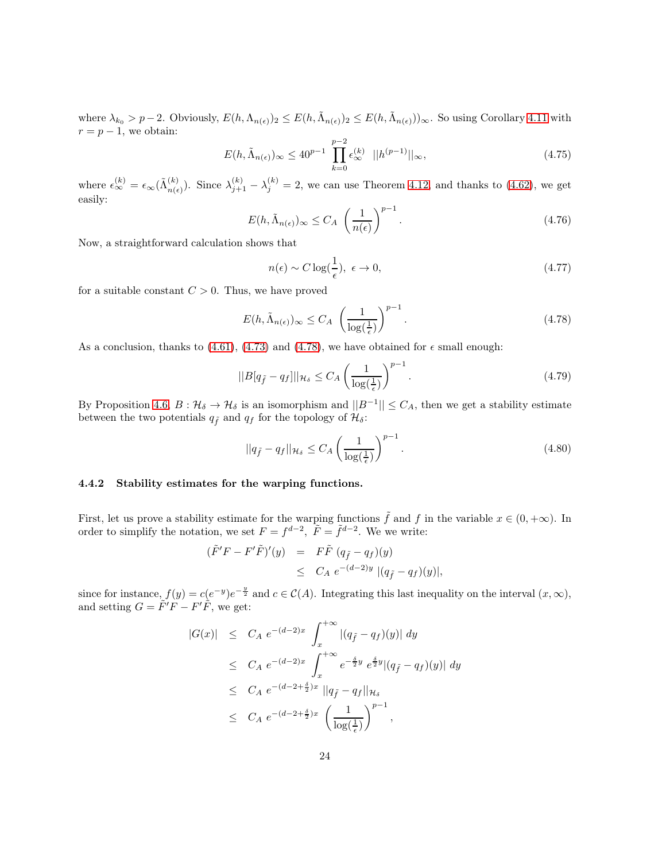where  $\lambda_{k_0} > p-2$ . Obviously,  $E(h, \Lambda_{n(\epsilon)})_2 \leq E(h, \tilde{\Lambda}_{n(\epsilon)})_2 \leq E(h, \tilde{\Lambda}_{n(\epsilon)})_0$ . So using Corollary [4.11](#page-18-2) with  $r = p - 1$ , we obtain:

$$
E(h, \tilde{\Lambda}_{n(\epsilon)})_{\infty} \le 40^{p-1} \prod_{k=0}^{p-2} \epsilon_{\infty}^{(k)} \quad ||h^{(p-1)}||_{\infty}, \tag{4.75}
$$

where  $\epsilon_{\infty}^{(k)} = \epsilon_{\infty}(\tilde{\Lambda}_{n(\epsilon}^{(k)}))$  $\binom{k}{n(\epsilon)}$ . Since  $\lambda_{j+1}^{(k)} - \lambda_j^{(k)} = 2$ , we can use Theorem [4.12,](#page-18-3) and thanks to [\(4.62\)](#page-21-2), we get easily:

$$
E(h, \tilde{\Lambda}_{n(\epsilon)})_{\infty} \le C_A \left(\frac{1}{n(\epsilon)}\right)^{p-1}.
$$
\n(4.76)

Now, a straightforward calculation shows that

$$
n(\epsilon) \sim C \log(\frac{1}{\epsilon}), \ \epsilon \to 0,
$$
\n(4.77)

for a suitable constant  $C > 0$ . Thus, we have proved

<span id="page-23-1"></span>
$$
E(h, \tilde{\Lambda}_{n(\epsilon)})_{\infty} \le C_A \left(\frac{1}{\log(\frac{1}{\epsilon})}\right)^{p-1}.
$$
\n(4.78)

As a conclusion, thanks to [\(4.61\)](#page-20-3), [\(4.73\)](#page-22-1) and [\(4.78\)](#page-23-1), we have obtained for  $\epsilon$  small enough:

$$
||B[q_{\tilde{f}} - q_f]||_{\mathcal{H}_\delta} \le C_A \left(\frac{1}{\log(\frac{1}{\epsilon})}\right)^{p-1}.
$$
\n(4.79)

By Proposition [4.6,](#page-14-2)  $B: \mathcal{H}_{\delta} \to \mathcal{H}_{\delta}$  is an isomorphism and  $||B^{-1}|| \leq C_A$ , then we get a stability estimate between the two potentials  $q_f$  and  $q_f$  for the topology of  $\mathcal{H}_\delta$ :

<span id="page-23-2"></span>
$$
||q_{\tilde{f}} - q_f||_{\mathcal{H}_\delta} \le C_A \left(\frac{1}{\log(\frac{1}{\epsilon})}\right)^{p-1}.
$$
\n(4.80)

#### <span id="page-23-0"></span>4.4.2 Stability estimates for the warping functions.

First, let us prove a stability estimate for the warping functions  $\tilde{f}$  and f in the variable  $x \in (0, +\infty)$ . In order to simplify the notation, we set  $F = f^{d-2}$ ,  $\tilde{F} = \tilde{f}^{d-2}$ . We we write:

$$
\begin{array}{rcl}\n(\tilde{F}'F - F'\tilde{F})'(y) & = & F\tilde{F}\ (q_{\tilde{f}} - q_f)(y) \\
& \leq & C_A \ e^{-(d-2)y} \ |(q_{\tilde{f}} - q_f)(y)|,\n\end{array}
$$

since for instance,  $f(y) = c(e^{-y})e^{-\frac{y}{2}}$  and  $c \in C(A)$ . Integrating this last inequality on the interval  $(x, \infty)$ , and setting  $G = \tilde{F}'\tilde{F} - F'\tilde{F}$ , we get:

$$
|G(x)| \leq C_A e^{-(d-2)x} \int_x^{+\infty} |(q_{\tilde{f}} - q_f)(y)| dy
$$
  
\n
$$
\leq C_A e^{-(d-2)x} \int_x^{+\infty} e^{-\frac{\delta}{2}y} e^{\frac{\delta}{2}y} |(q_{\tilde{f}} - q_f)(y)| dy
$$
  
\n
$$
\leq C_A e^{-(d-2+\frac{\delta}{2})x} ||q_{\tilde{f}} - q_f||_{\mathcal{H}_{\delta}}
$$
  
\n
$$
\leq C_A e^{-(d-2+\frac{\delta}{2})x} \left(\frac{1}{\log(\frac{1}{\epsilon})}\right)^{p-1},
$$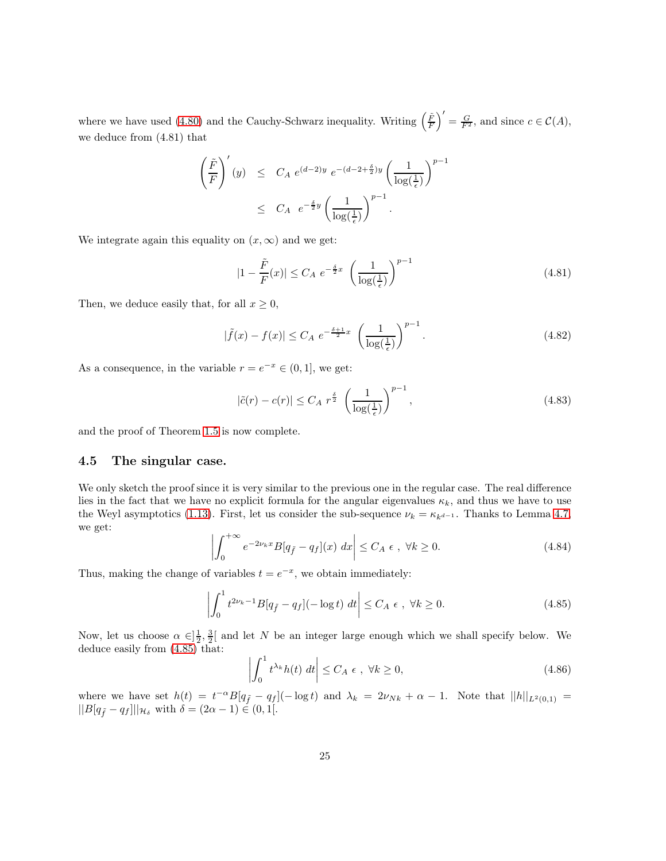where we have used [\(4.80\)](#page-23-2) and the Cauchy-Schwarz inequality. Writing  $\left(\frac{\tilde{F}}{F}\right)' = \frac{G}{F^2}$ , and since  $c \in \mathcal{C}(A)$ , we deduce from (4.81) that

$$
\left(\frac{\tilde{F}}{F}\right)'(y) \leq C_A e^{(d-2)y} e^{-(d-2+\frac{\delta}{2})y} \left(\frac{1}{\log(\frac{1}{\epsilon})}\right)^{p-1}
$$
  

$$
\leq C_A e^{-\frac{\delta}{2}y} \left(\frac{1}{\log(\frac{1}{\epsilon})}\right)^{p-1}.
$$

We integrate again this equality on  $(x, \infty)$  and we get:

$$
|1 - \frac{\tilde{F}}{F}(x)| \le C_A e^{-\frac{\delta}{2}x} \left(\frac{1}{\log(\frac{1}{\epsilon})}\right)^{p-1}
$$
\n(4.81)

Then, we deduce easily that, for all  $x \geq 0$ ,

$$
|\tilde{f}(x) - f(x)| \le C_A \ e^{-\frac{\delta + 1}{2}x} \left(\frac{1}{\log(\frac{1}{\epsilon})}\right)^{p-1}.
$$
 (4.82)

As a consequence, in the variable  $r = e^{-x} \in (0, 1]$ , we get:

$$
|\tilde{c}(r) - c(r)| \le C_A r^{\frac{\delta}{2}} \left(\frac{1}{\log(\frac{1}{\epsilon})}\right)^{p-1},\tag{4.83}
$$

and the proof of Theorem [1.5](#page-5-0) is now complete.

#### <span id="page-24-0"></span>4.5 The singular case.

We only sketch the proof since it is very similar to the previous one in the regular case. The real difference lies in the fact that we have no explicit formula for the angular eigenvalues  $\kappa_k$ , and thus we have to use the Weyl asymptotics [\(1.13\)](#page-3-0). First, let us consider the sub-sequence  $\nu_k = \kappa_{k^{d-1}}$ . Thanks to Lemma [4.7,](#page-16-6) we get:

$$
\left| \int_0^{+\infty} e^{-2\nu_k x} B[q_{\tilde{f}} - q_f](x) \, dx \right| \le C_A \epsilon \,, \, \forall k \ge 0. \tag{4.84}
$$

Thus, making the change of variables  $t = e^{-x}$ , we obtain immediately:

<span id="page-24-1"></span>
$$
\left| \int_0^1 t^{2\nu_k - 1} B[q_{\tilde{f}} - q_f](-\log t) dt \right| \le C_A \epsilon, \ \forall k \ge 0. \tag{4.85}
$$

Now, let us choose  $\alpha \in ]\frac{1}{2},\frac{3}{2}[$  and let N be an integer large enough which we shall specify below. We deduce easily from [\(4.85\)](#page-24-1) that:

$$
\left| \int_{0}^{1} t^{\lambda_{k}} h(t) dt \right| \leq C_{A} \epsilon, \ \forall k \geq 0,
$$
\n(4.86)

where we have set  $h(t) = t^{-\alpha}B[q_{\tilde{f}} - q_f](-\log t)$  and  $\lambda_k = 2\nu_{Nk} + \alpha - 1$ . Note that  $||h||_{L^2(0,1)} =$  $||B[q_{\tilde{f}} - q_f]||_{\mathcal{H}_{\delta}}$  with  $\delta = (2\alpha - 1) \in (0, 1].$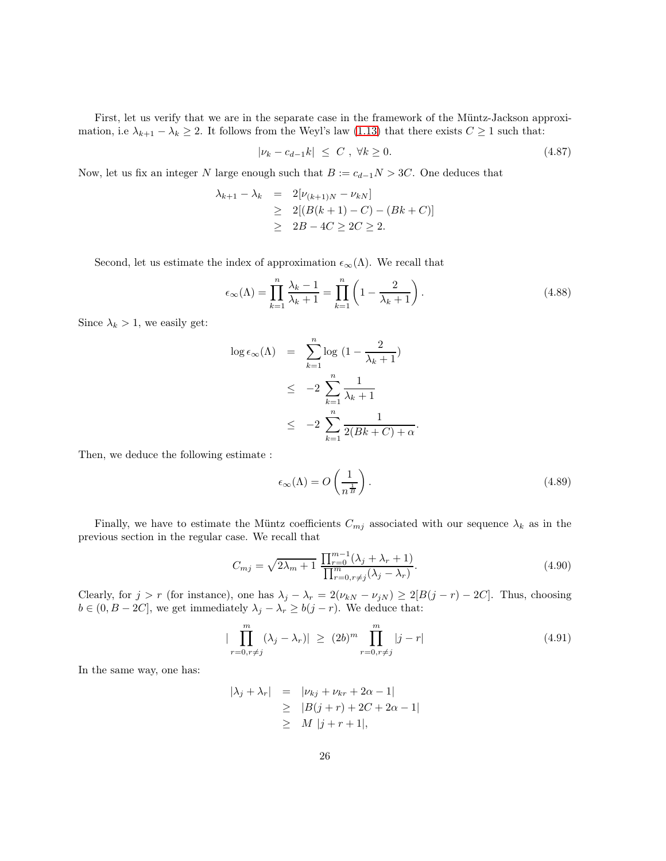First, let us verify that we are in the separate case in the framework of the Müntz-Jackson approximation, i.e  $\lambda_{k+1} - \lambda_k \geq 2$ . It follows from the Weyl's law [\(1.13\)](#page-3-0) that there exists  $C \geq 1$  such that:

$$
|\nu_k - c_{d-1}k| \le C, \quad \forall k \ge 0. \tag{4.87}
$$

Now, let us fix an integer N large enough such that  $B := c_{d-1}N > 3C$ . One deduces that

$$
\lambda_{k+1} - \lambda_k = 2[\nu_{(k+1)N} - \nu_{kN}]
$$
  
\n
$$
\geq 2[(B(k+1) - C) - (Bk + C)]
$$
  
\n
$$
\geq 2B - 4C \geq 2C \geq 2.
$$

Second, let us estimate the index of approximation  $\epsilon_{\infty}(\Lambda)$ . We recall that

$$
\epsilon_{\infty}(\Lambda) = \prod_{k=1}^{n} \frac{\lambda_k - 1}{\lambda_k + 1} = \prod_{k=1}^{n} \left( 1 - \frac{2}{\lambda_k + 1} \right). \tag{4.88}
$$

Since  $\lambda_k > 1$ , we easily get:

$$
\log \epsilon_{\infty}(\Lambda) = \sum_{k=1}^{n} \log (1 - \frac{2}{\lambda_k + 1})
$$
  
\n
$$
\leq -2 \sum_{k=1}^{n} \frac{1}{\lambda_k + 1}
$$
  
\n
$$
\leq -2 \sum_{k=1}^{n} \frac{1}{2(Bk + C) + \alpha}.
$$

Then, we deduce the following estimate :

$$
\epsilon_{\infty}(\Lambda) = O\left(\frac{1}{n^{\frac{1}{B}}}\right). \tag{4.89}
$$

Finally, we have to estimate the Müntz coefficients  $C_{mj}$  associated with our sequence  $\lambda_k$  as in the previous section in the regular case. We recall that

$$
C_{mj} = \sqrt{2\lambda_m + 1} \frac{\prod_{r=0}^{m-1} (\lambda_j + \lambda_r + 1)}{\prod_{r=0, r \neq j}^{m} (\lambda_j - \lambda_r)}.
$$
\n(4.90)

Clearly, for  $j > r$  (for instance), one has  $\lambda_j - \lambda_r = 2(\nu_{kN} - \nu_{jN}) \ge 2[B(j - r) - 2C]$ . Thus, choosing  $b \in (0, B - 2C]$ , we get immediately  $\lambda_j - \lambda_r \ge b(j - r)$ . We deduce that:

$$
|\prod_{r=0, r\neq j}^{m} (\lambda_j - \lambda_r)| \geq (2b)^m \prod_{r=0, r\neq j}^{m} |j-r|
$$
\n(4.91)

In the same way, one has:

$$
|\lambda_j + \lambda_r| = |\nu_{kj} + \nu_{kr} + 2\alpha - 1|
$$
  
\n
$$
\geq |B(j+r) + 2C + 2\alpha - 1|
$$
  
\n
$$
\geq M |j+r+1|,
$$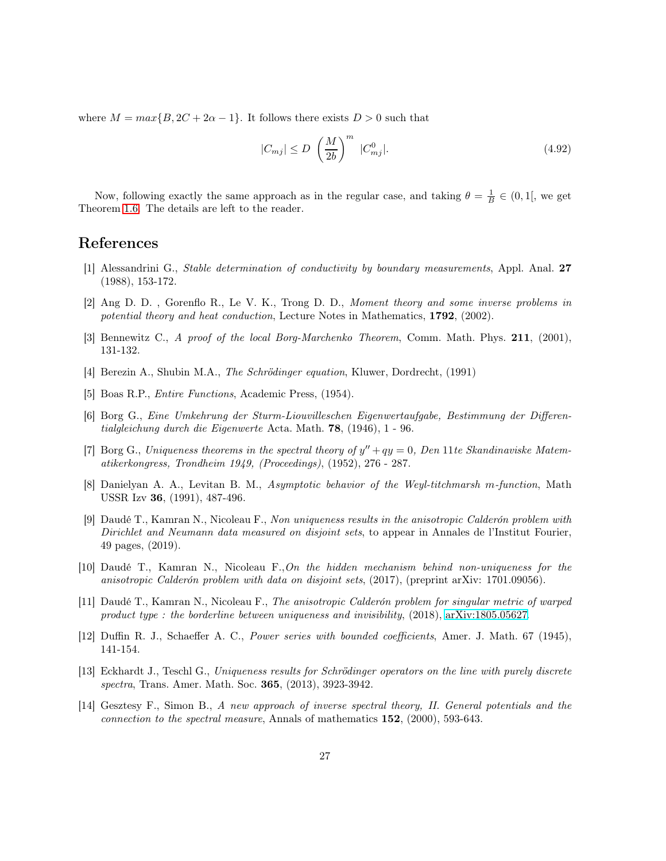where  $M = max\{B, 2C + 2\alpha - 1\}$ . It follows there exists  $D > 0$  such that

$$
|C_{mj}| \le D \left(\frac{M}{2b}\right)^m |C_{mj}^0|. \tag{4.92}
$$

Now, following exactly the same approach as in the regular case, and taking  $\theta = \frac{1}{B} \in (0, 1]$ , we get Theorem [1.6.](#page-6-1) The details are left to the reader.

# <span id="page-26-0"></span>References

- [1] Alessandrini G., Stable determination of conductivity by boundary measurements, Appl. Anal. 27 (1988), 153-172.
- <span id="page-26-10"></span>[2] Ang D. D. , Gorenflo R., Le V. K., Trong D. D., Moment theory and some inverse problems in potential theory and heat conduction, Lecture Notes in Mathematics, 1792, (2002).
- <span id="page-26-9"></span><span id="page-26-5"></span>[3] Bennewitz C., A proof of the local Borg-Marchenko Theorem, Comm. Math. Phys. 211, (2001), 131-132.
- <span id="page-26-8"></span>[4] Berezin A., Shubin M.A., The Schrödinger equation, Kluwer, Dordrecht, (1991)
- [5] Boas R.P., Entire Functions, Academic Press, (1954).
- [6] Borg G., Eine Umkehrung der Sturm-Liouvilleschen Eigenwertaufgabe, Bestimmung der Differentialgleichung durch die Eigenwerte Acta. Math. 78, (1946), 1 - 96.
- [7] Borg G., Uniqueness theorems in the spectral theory of  $y'' + qy = 0$ , Den 11te Skandinaviske Matematikerkongress, Trondheim 1949, (Proceedings), (1952), 276 - 287.
- <span id="page-26-4"></span>[8] Danielyan A. A., Levitan B. M., Asymptotic behavior of the Weyl-titchmarsh m-function, Math USSR Izv 36, (1991), 487-496.
- <span id="page-26-1"></span>[9] Daudé T., Kamran N., Nicoleau F., Non uniqueness results in the anisotropic Calderón problem with Dirichlet and Neumann data measured on disjoint sets, to appear in Annales de l'Institut Fourier, 49 pages, (2019).
- <span id="page-26-2"></span>[10] Daudé T., Kamran N., Nicoleau F.,On the hidden mechanism behind non-uniqueness for the anisotropic Calderón problem with data on disjoint sets, (2017), (preprint arXiv: 1701.09056).
- <span id="page-26-3"></span>[11] Daudé T., Kamran N., Nicoleau F., The anisotropic Calderón problem for singular metric of warped product type : the borderline between uniqueness and invisibility,  $(2018)$ , [arXiv:1805.05627.](http://arxiv.org/abs/1805.05627)
- <span id="page-26-6"></span>[12] Duffin R. J., Schaeffer A. C., Power series with bounded coefficients, Amer. J. Math. 67 (1945), 141-154.
- [13] Eckhardt J., Teschl G., Uniqueness results for Schrödinger operators on the line with purely discrete spectra, Trans. Amer. Math. Soc. 365, (2013), 3923-3942.
- <span id="page-26-7"></span>[14] Gesztesy F., Simon B., A new approach of inverse spectral theory, II. General potentials and the connection to the spectral measure, Annals of mathematics  $152$ ,  $(2000)$ , 593-643.